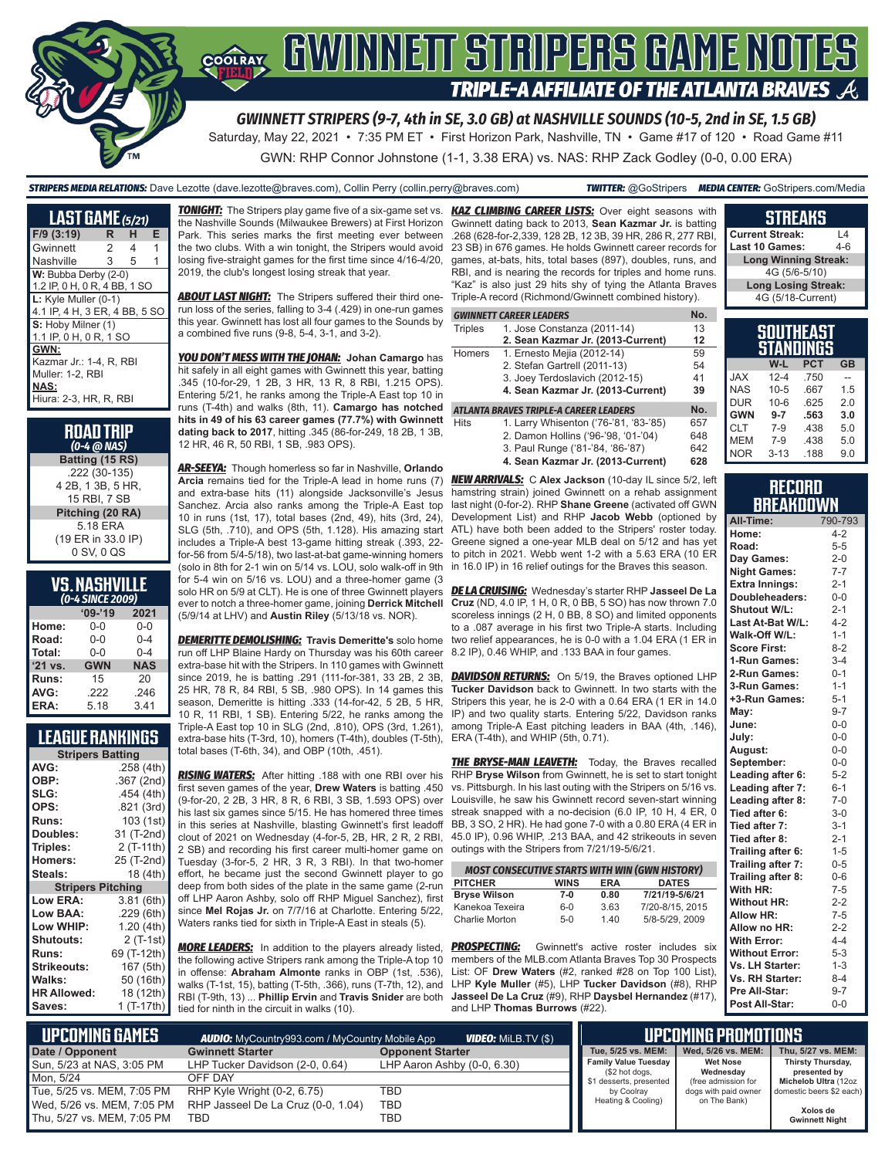

*STRIPERS MEDIA RELATIONS:* Dave Lezotte (dave.lezotte@braves.com), Collin Perry (collin.perry@braves.com) *TWITTER:* @GoStripers *MEDIA CENTER:* GoStripers.com/Media

Saturday, May 22, 2021 • 7:35 PM ET • First Horizon Park, Nashville, TN • Game #17 of 120 • Road Game #11

GWN: RHP Connor Johnstone (1-1, 3.38 ERA) vs. NAS: RHP Zack Godley (0-0, 0.00 ERA)

#### **LAST GAME** *(5/21)* **F/9 (3:19) R H E** Gwinnett 2 4 1 Nashville 3 5 1 W: Bubba Derby (2-0) 1.2 IP, 0 H, 0 R, 4 BB, 1 SO **L:** Kyle Muller (0-1) 4.1 IP, 4 H, 3 ER, 4 BB, 5 SO **S:** Hoby Milner (1) 1.1 IP, 0 H, 0 R, 1 SO **GWN:** Kazmar Jr.: 1-4, R, RBI Muller: 1-2, RBI **NAS:** Hiura: 2-3, HR, R, RBI

| <b>ROAD TRIP</b><br>$(0-4 \text{ } \textcircled{a} \text{ } \text{MAS})$ |
|--------------------------------------------------------------------------|
| Batting (15 RS)                                                          |
| .222 (30-135)<br>4 2B, 1 3B, 5 HR,<br>15 RBI, 7 SB                       |
| Pitching (20 RA)                                                         |
| 5.18 ERA<br>(19 ER in 33.0 IP)<br>0 SV, 0 QS                             |

## **VS. NASHVILLE**

| (0-4 SINCE 2009) |            |            |  |  |  |  |  |  |
|------------------|------------|------------|--|--|--|--|--|--|
|                  | $09 - 19$  | 2021       |  |  |  |  |  |  |
| Home:            | 0-0        | $0 - 0$    |  |  |  |  |  |  |
| Road:            | $0 - 0$    | $0 - 4$    |  |  |  |  |  |  |
| Total:           | $0 - 0$    | $0 - 4$    |  |  |  |  |  |  |
| $'21$ vs.        | <b>GWN</b> | <b>NAS</b> |  |  |  |  |  |  |
| Runs:            | 15         | 20         |  |  |  |  |  |  |
| AVG:             | .222       | .246       |  |  |  |  |  |  |
| ERA:             | 5.18       | 3.41       |  |  |  |  |  |  |

### **LEAGUE RANKINGS**

| <b>Stripers Batting</b>  |             |  |  |  |  |  |  |
|--------------------------|-------------|--|--|--|--|--|--|
| AVG:                     | .258(4th)   |  |  |  |  |  |  |
| OBP:                     | .367 (2nd)  |  |  |  |  |  |  |
| SLG:                     | .454 (4th)  |  |  |  |  |  |  |
| OPS:                     | .821 (3rd)  |  |  |  |  |  |  |
| <b>Runs:</b>             | 103 (1st)   |  |  |  |  |  |  |
| Doubles:                 | 31 (T-2nd)  |  |  |  |  |  |  |
| Triples:                 | 2 (T-11th)  |  |  |  |  |  |  |
| <b>Homers:</b>           | 25 (T-2nd)  |  |  |  |  |  |  |
| Steals:                  | 18 (4th)    |  |  |  |  |  |  |
| <b>Stripers Pitching</b> |             |  |  |  |  |  |  |
| <b>Low ERA:</b>          | 3.81 (6th)  |  |  |  |  |  |  |
| Low BAA:                 | .229(6th)   |  |  |  |  |  |  |
| Low WHIP:                | 1.20(4th)   |  |  |  |  |  |  |
| Shutouts:                | 2 (T-1st)   |  |  |  |  |  |  |
| Runs:                    | 69 (T-12th) |  |  |  |  |  |  |
| <b>Strikeouts:</b>       | 167 (5th)   |  |  |  |  |  |  |
| Walks:                   | 50 (16th)   |  |  |  |  |  |  |
| <b>HR Allowed:</b>       | 18 (12th)   |  |  |  |  |  |  |
| Saves:                   | 1 (T-17th)  |  |  |  |  |  |  |
|                          |             |  |  |  |  |  |  |

*TONIGHT:* The Stripers play game five of a six-game set vs. the Nashville Sounds (Milwaukee Brewers) at First Horizon Park. This series marks the first meeting ever between the two clubs. With a win tonight, the Stripers would avoid losing five-straight games for the first time since 4/16-4/20, 2019, the club's longest losing streak that year.

**ABOUT LAST NIGHT:** The Stripers suffered their third onerun loss of the series, falling to 3-4 (.429) in one-run games this year. Gwinnett has lost all four games to the Sounds by a combined five runs (9-8, 5-4, 3-1, and 3-2).

*YOU DON'T MESS WITH THE JOHAN:* **Johan Camargo** has hit safely in all eight games with Gwinnett this year, batting .345 (10-for-29, 1 2B, 3 HR, 13 R, 8 RBI, 1.215 OPS). Entering 5/21, he ranks among the Triple-A East top 10 in runs (T-4th) and walks (8th, 11). **Camargo has notched hits in 49 of his 63 career games (77.7%) with Gwinnett dating back to 2017**, hitting .345 (86-for-249, 18 2B, 1 3B, 12 HR, 46 R, 50 RBI, 1 SB, .983 OPS).

*AR-SEEYA:* Though homerless so far in Nashville, **Orlando Arcia** remains tied for the Triple-A lead in home runs (7) and extra-base hits (11) alongside Jacksonville's Jesus Sanchez. Arcia also ranks among the Triple-A East top 10 in runs (1st, 17), total bases (2nd, 49), hits (3rd, 24), SLG (5th, .710), and OPS (5th, 1.128). His amazing start includes a Triple-A best 13-game hitting streak (.393, 22 for-56 from 5/4-5/18), two last-at-bat game-winning homers (solo in 8th for 2-1 win on 5/14 vs. LOU, solo walk-off in 9th for 5-4 win on 5/16 vs. LOU) and a three-homer game (3 solo HR on 5/9 at CLT). He is one of three Gwinnett players ever to notch a three-homer game, joining **Derrick Mitchell** (5/9/14 at LHV) and **Austin Riley** (5/13/18 vs. NOR).

*DEMERITTE DEMOLISHING:* **Travis Demeritte's** solo home run off LHP Blaine Hardy on Thursday was his 60th career extra-base hit with the Stripers. In 110 games with Gwinnett since 2019, he is batting .291 (111-for-381, 33 2B, 2 3B, 25 HR, 78 R, 84 RBI, 5 SB, .980 OPS). In 14 games this season, Demeritte is hitting .333 (14-for-42, 5 2B, 5 HR, 10 R, 11 RBI, 1 SB). Entering 5/22, he ranks among the Triple-A East top 10 in SLG (2nd, .810), OPS (3rd, 1.261), extra-base hits (T-3rd, 10), homers (T-4th), doubles (T-5th), total bases (T-6th, 34), and OBP (10th, .451).

*RISING WATERS:* After hitting .188 with one RBI over his first seven games of the year, **Drew Waters** is batting .450 (9-for-20, 2 2B, 3 HR, 8 R, 6 RBI, 3 SB, 1.593 OPS) over Louisville, he saw his Gwinnett record seven-start winning his last six games since 5/15. He has homered three times in this series at Nashville, blasting Gwinnett's first leadoff clout of 2021 on Wednesday (4-for-5, 2B, HR, 2 R, 2 RBI, 2 SB) and recording his first career multi-homer game on Tuesday (3-for-5, 2 HR, 3 R, 3 RBI). In that two-homer effort, he became just the second Gwinnett player to go deep from both sides of the plate in the same game (2-run off LHP Aaron Ashby, solo off RHP Miguel Sanchez), first since **Mel Rojas Jr.** on 7/7/16 at Charlotte. Entering 5/22, Waters ranks tied for sixth in Triple-A East in steals (5).

*MORE LEADERS:* In addition to the players already listed, *PROSPECTING:* Gwinnett's active roster includes six the following active Stripers rank among the Triple-A top 10 in offense: **Abraham Almonte** ranks in OBP (1st, .536), walks (T-1st, 15), batting (T-5th, .366), runs (T-7th, 12), and LHP **Kyle Muller** (#5), LHP **Tucker Davidson** (#8), RHP RBI (T-9th, 13) ... **Phillip Ervin** and **Travis Snider** are both **Jasseel De La Cruz** (#9), RHP **Daysbel Hernandez** (#17), tied for ninth in the circuit in walks (10).

*KAZ CLIMBING CAREER LISTS:* Over eight seasons with Gwinnett dating back to 2013, **Sean Kazmar Jr.** is batting .268 (628-for-2,339, 128 2B, 12 3B, 39 HR, 286 R, 277 RBI, 23 SB) in 676 games. He holds Gwinnett career records for games, at-bats, hits, total bases (897), doubles, runs, and RBI, and is nearing the records for triples and home runs. "Kaz" is also just 29 hits shy of tying the Atlanta Braves Triple-A record (Richmond/Gwinnett combined history).

#### *GWINNETT CAREER LEADERS* **No.**

| Triples | 1. Jose Constanza (2011-14)               | 13 |
|---------|-------------------------------------------|----|
|         | 2. Sean Kazmar Jr. (2013-Current)         | 12 |
| Homers  | 1. Ernesto Mejia (2012-14)                | 59 |
|         | 2. Stefan Gartrell (2011-13)              | 54 |
|         | 3. Joey Terdoslavich (2012-15)            | 41 |
|         | 4. Sean Kazmar Jr. (2013-Current)         | 39 |
|         | ATI ANTA DDAVEC TDIDI E_A CADEED I EANEDC |    |

#### *ATLANTA BRAVES TRIPLE-A CAREER LEADERS* **No.**

- Hits 1. Larry Whisenton ('76-'81, '83-'85) 657 2. Damon Hollins ('96-'98, '01-'04) 648<br>3. Paul Runge ('81-'84, '86-'87) 642
	- 3. Paul Runge ('81-'84, '86-'87) **4. Sean Kazmar Jr. (2013-Current) 628**

*NEW ARRIVALS:* C **Alex Jackson** (10-day IL since 5/2, left hamstring strain) joined Gwinnett on a rehab assignment last night (0-for-2). RHP **Shane Greene** (activated off GWN Development List) and RHP **Jacob Webb** (optioned by ATL) have both been added to the Stripers' roster today. Greene signed a one-year MLB deal on 5/12 and has yet to pitch in 2021. Webb went 1-2 with a 5.63 ERA (10 ER in 16.0 IP) in 16 relief outings for the Braves this season.

*DE LA CRUISING:* Wednesday's starter RHP **Jasseel De La Cruz** (ND, 4.0 IP, 1 H, 0 R, 0 BB, 5 SO) has now thrown 7.0 scoreless innings (2 H, 0 BB, 8 SO) and limited opponents to a .087 average in his first two Triple-A starts. Including two relief appearances, he is 0-0 with a 1.04 ERA (1 ER in 8.2 IP), 0.46 WHIP, and .133 BAA in four games.

**DAVIDSON RETURNS:** On 5/19, the Braves optioned LHP **Tucker Davidson** back to Gwinnett. In two starts with the Stripers this year, he is 2-0 with a 0.64 ERA (1 ER in 14.0 IP) and two quality starts. Entering 5/22, Davidson ranks among Triple-A East pitching leaders in BAA (4th, .146), ERA (T-4th), and WHIP (5th, 0.71).

**THE BRYSE-MAN LEAVETH:** Today, the Braves recalled RHP **Bryse Wilson** from Gwinnett, he is set to start tonight vs. Pittsburgh. In his last outing with the Stripers on 5/16 vs. streak snapped with a no-decision (6.0 IP, 10 H, 4 ER, 0 BB, 3 SO, 2 HR). He had gone 7-0 with a 0.80 ERA (4 ER in 45.0 IP), 0.96 WHIP, .213 BAA, and 42 strikeouts in seven outings with the Stripers from 7/21/19-5/6/21.

| <b>MOST CONSECUTIVE STARTS WITH WIN (GWN HISTORY)</b> |             |            |                 |  |  |  |  |  |
|-------------------------------------------------------|-------------|------------|-----------------|--|--|--|--|--|
| <b>PITCHER</b>                                        | <b>WINS</b> | <b>ERA</b> | <b>DATES</b>    |  |  |  |  |  |
| <b>Bryse Wilson</b>                                   | 7-0         | 0.80       | 7/21/19-5/6/21  |  |  |  |  |  |
| Kanekoa Texeira                                       | $6 - 0$     | 3.63       | 7/20-8/15, 2015 |  |  |  |  |  |
| Charlie Morton                                        | $5-0$       | 1.40       | 5/8-5/29, 2009  |  |  |  |  |  |

members of the MLB.com Atlanta Braves Top 30 Prospects List: OF **Drew Waters** (#2, ranked #28 on Top 100 List), and LHP **Thomas Burrows** (#22).

| SOUTHEAST                   |
|-----------------------------|
|                             |
| 4G (5/18-Current)           |
| <b>Long Losing Streak:</b>  |
| 4G (5/6-5/10)               |
| <b>Long Winning Streak:</b> |
| Last 10 Games:<br>4-6       |
| <b>Current Streak:</b>      |

**STREAKS**

|            |          | IILAJI<br>STANDINGS |           |
|------------|----------|---------------------|-----------|
|            | W-L      | <b>PCT</b>          | <b>GB</b> |
| <b>JAX</b> | $12 - 4$ | .750                |           |
| <b>NAS</b> | $10 - 5$ | .667                | 1.5       |
| <b>DUR</b> | $10 - 6$ | .625                | 2.0       |
| <b>GWN</b> | $9 - 7$  | .563                | 3.0       |
| <b>CLT</b> | $7-9$    | .438                | 5.0       |
| <b>MEM</b> | $7 - 9$  | .438                | 5.0       |
| <b>NOR</b> | $3 - 13$ | .188                | 9.0       |

#### **RECORD BREAKDOWN**

| All-Time:             | 790-793 |
|-----------------------|---------|
| Home:                 | $4 - 2$ |
| Road:                 | $5 - 5$ |
| Day Games:            | $2 - 0$ |
| <b>Night Games:</b>   | $7 - 7$ |
| <b>Extra Innings:</b> | $2 - 1$ |
| Doubleheaders:        | $0-0$   |
| <b>Shutout W/L:</b>   | $2 - 1$ |
| Last At-Bat W/L:      | $4 - 2$ |
| Walk-Off W/L:         | $1 - 1$ |
| <b>Score First:</b>   | $8 - 2$ |
| 1-Run Games:          | $3-4$   |
| 2-Run Games:          | $0 - 1$ |
| 3-Run Games:          | $1 - 1$ |
| +3-Run Games:         | $5 - 1$ |
| May:                  | $9 - 7$ |
| June:                 | $0 - 0$ |
| July:                 | $0-0$   |
| August:               | $0-0$   |
| September:            | $0 - 0$ |
| Leading after 6:      | $5 - 2$ |
| Leading after 7:      | $6 - 1$ |
| Leading after 8:      | $7 - 0$ |
| Tied after 6:         | $3 - 0$ |
| Tied after 7:         | $3 - 1$ |
| Tied after 8:         | $2 - 1$ |
| Trailing after 6:     | $1 - 5$ |
| Trailing after 7:     | $0 - 5$ |
| Trailing after 8:     | $0 - 6$ |
| With HR:              | $7 - 5$ |
| <b>Without HR:</b>    | $2 - 2$ |
| <b>Allow HR:</b>      | $7 - 5$ |
| Allow no HR:          | $2 - 2$ |
| <b>With Error:</b>    | $4 - 4$ |
| <b>Without Error:</b> | $5 - 3$ |
| Vs. LH Starter:       | $1 - 3$ |
| Vs. RH Starter:       | $8 - 4$ |
| Pre All-Star:         | $9 - 7$ |
| Post All-Star:        | $0-0$   |

| L UPCOMIÑG GAMES <b>!</b>  | <b>AUDIO:</b> MyCountry993.com / MyCountry Mobile App |                             | <b>LUPCOMING PROMOTIONS</b>                   |                              |                                   |
|----------------------------|-------------------------------------------------------|-----------------------------|-----------------------------------------------|------------------------------|-----------------------------------|
| Date / Opponent            | <b>Gwinnett Starter</b>                               | <b>Opponent Starter</b>     | Tue, 5/25 vs. MEM:                            | Wed, 5/26 vs. MEM:           | Thu, 5/27 vs. MEM:                |
| Sun, 5/23 at NAS, 3:05 PM  | LHP Tucker Davidson (2-0, 0.64)                       | LHP Aaron Ashby (0-0, 6.30) | <b>Family Value Tuesday</b><br>(\$2 hot dogs, | <b>Wet Nose</b><br>Wednesday | Thirsty Thursday,<br>presented by |
| Mon. 5/24                  | OFF DAY                                               |                             | \$1 desserts, presented                       | (free admission for          | Michelob Ultra (12oz              |
| Tue, 5/25 vs. MEM, 7:05 PM | RHP Kyle Wright (0-2, 6.75)                           | TBD                         | by Coolray                                    | dogs with paid owner         | domestic beers \$2 each)          |
| Wed, 5/26 vs. MEM, 7:05 PM | RHP Jasseel De La Cruz (0-0, 1.04)                    | TBD                         | Heating & Cooling)                            | on The Bank)                 | Xolos de                          |
| Thu, 5/27 vs. MEM, 7:05 PM | TBD                                                   | TBD                         |                                               |                              | <b>Gwinnett Night</b>             |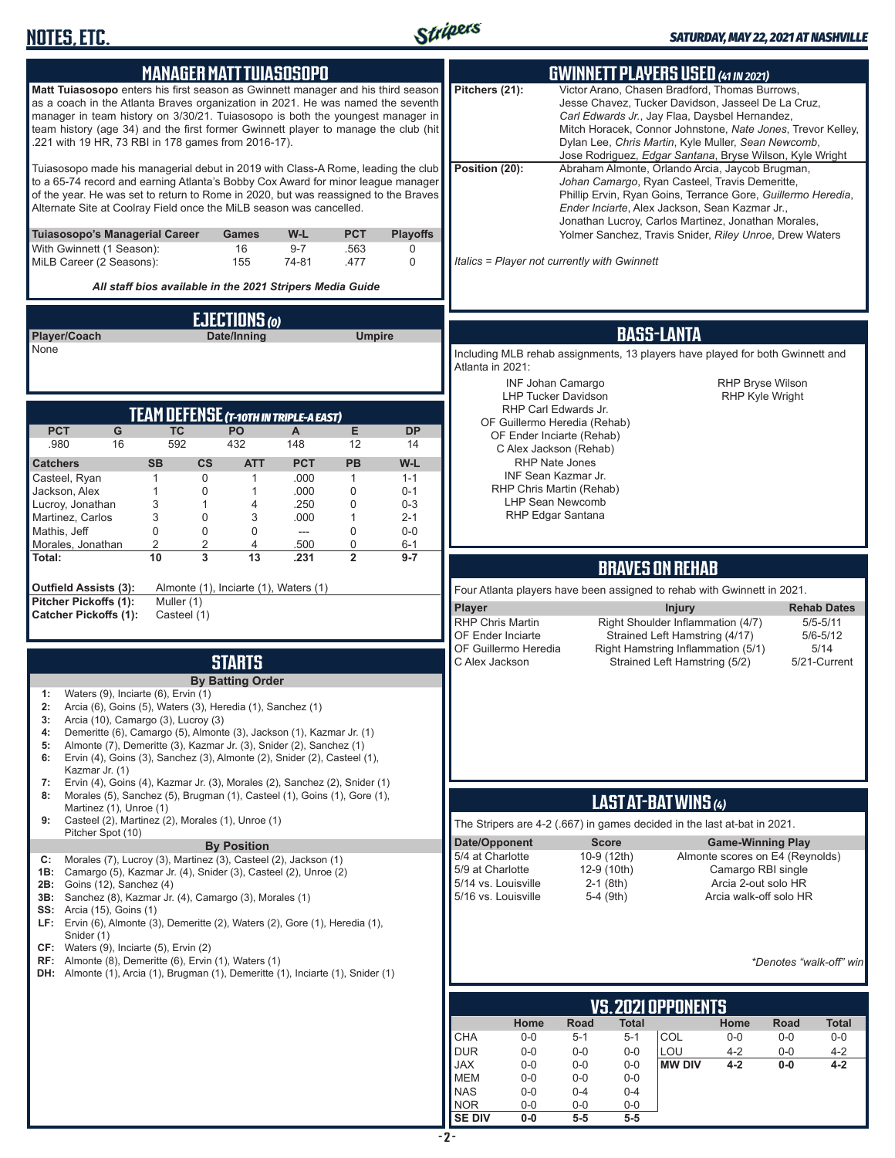

| <b>MANAGER MATT TUIASOSOPO</b>                                                                                                                                                                                                                                                                                                                                                                                                                                                                                |                                                      |                               |                                     |                                                                                                                                                                                                                                                                                                                                       |                                                                                                                                   | <b>GWINNETT PLAYERS USED (41 IN 2021)</b>                                                                                                                                                                                                                                                                                                |                                                                                |
|---------------------------------------------------------------------------------------------------------------------------------------------------------------------------------------------------------------------------------------------------------------------------------------------------------------------------------------------------------------------------------------------------------------------------------------------------------------------------------------------------------------|------------------------------------------------------|-------------------------------|-------------------------------------|---------------------------------------------------------------------------------------------------------------------------------------------------------------------------------------------------------------------------------------------------------------------------------------------------------------------------------------|-----------------------------------------------------------------------------------------------------------------------------------|------------------------------------------------------------------------------------------------------------------------------------------------------------------------------------------------------------------------------------------------------------------------------------------------------------------------------------------|--------------------------------------------------------------------------------|
| Matt Tuiasosopo enters his first season as Gwinnett manager and his third season<br>as a coach in the Atlanta Braves organization in 2021. He was named the seventh<br>manager in team history on 3/30/21. Tuiasosopo is both the youngest manager in<br>team history (age 34) and the first former Gwinnett player to manage the club (hit<br>.221 with 19 HR, 73 RBI in 178 games from 2016-17).                                                                                                            |                                                      |                               |                                     | Pitchers (21):                                                                                                                                                                                                                                                                                                                        |                                                                                                                                   | Victor Arano, Chasen Bradford, Thomas Burrows,<br>Jesse Chavez, Tucker Davidson, Jasseel De La Cruz,<br>Carl Edwards Jr., Jay Flaa, Daysbel Hernandez,<br>Mitch Horacek, Connor Johnstone, Nate Jones, Trevor Kelley,<br>Dylan Lee, Chris Martin, Kyle Muller, Sean Newcomb,<br>Jose Rodriguez, Edgar Santana, Bryse Wilson, Kyle Wright |                                                                                |
| Tuiasosopo made his managerial debut in 2019 with Class-A Rome, leading the club<br>to a 65-74 record and earning Atlanta's Bobby Cox Award for minor league manager<br>of the year. He was set to return to Rome in 2020, but was reassigned to the Braves<br>Alternate Site at Coolray Field once the MiLB season was cancelled.                                                                                                                                                                            |                                                      | Position (20):                |                                     | Abraham Almonte, Orlando Arcia, Jaycob Brugman,<br>Johan Camargo, Ryan Casteel, Travis Demeritte,<br>Phillip Ervin, Ryan Goins, Terrance Gore, Guillermo Heredia,<br>Ender Inciarte, Alex Jackson, Sean Kazmar Jr.,<br>Jonathan Lucroy, Carlos Martinez, Jonathan Morales,<br>Yolmer Sanchez, Travis Snider, Riley Unroe, Drew Waters |                                                                                                                                   |                                                                                                                                                                                                                                                                                                                                          |                                                                                |
| <b>Tuiasosopo's Managerial Career</b><br>With Gwinnett (1 Season):<br>MiLB Career (2 Seasons):                                                                                                                                                                                                                                                                                                                                                                                                                | <b>Games</b><br>W-L<br>16<br>$9 - 7$<br>155<br>74-81 | <b>PCT</b><br>.563<br>.477    | <b>Playoffs</b><br>0<br>$\mathbf 0$ | Italics = Player not currently with Gwinnett                                                                                                                                                                                                                                                                                          |                                                                                                                                   |                                                                                                                                                                                                                                                                                                                                          |                                                                                |
| All staff bios available in the 2021 Stripers Media Guide                                                                                                                                                                                                                                                                                                                                                                                                                                                     |                                                      |                               |                                     |                                                                                                                                                                                                                                                                                                                                       |                                                                                                                                   |                                                                                                                                                                                                                                                                                                                                          |                                                                                |
|                                                                                                                                                                                                                                                                                                                                                                                                                                                                                                               | EJECTIONS (0)                                        |                               |                                     |                                                                                                                                                                                                                                                                                                                                       |                                                                                                                                   |                                                                                                                                                                                                                                                                                                                                          |                                                                                |
| Player/Coach<br>None                                                                                                                                                                                                                                                                                                                                                                                                                                                                                          | Date/Inning                                          | <b>Umpire</b>                 |                                     |                                                                                                                                                                                                                                                                                                                                       |                                                                                                                                   | <b>BASS-LANTA</b><br>Including MLB rehab assignments, 13 players have played for both Gwinnett and                                                                                                                                                                                                                                       |                                                                                |
|                                                                                                                                                                                                                                                                                                                                                                                                                                                                                                               |                                                      |                               |                                     | Atlanta in 2021:<br>INF Johan Camargo<br><b>LHP Tucker Davidson</b><br>RHP Carl Edwards Jr.                                                                                                                                                                                                                                           |                                                                                                                                   | <b>RHP Bryse Wilson</b><br><b>RHP Kyle Wright</b>                                                                                                                                                                                                                                                                                        |                                                                                |
| TEAM DEFENSE (T-10TH IN TRIPLE-A EAST)<br><b>PCT</b><br><b>TC</b><br>G                                                                                                                                                                                                                                                                                                                                                                                                                                        | PO<br>$\mathsf{A}$                                   | E                             | <b>DP</b>                           | OF Guillermo Heredia (Rehab)                                                                                                                                                                                                                                                                                                          |                                                                                                                                   |                                                                                                                                                                                                                                                                                                                                          |                                                                                |
| 592<br>.980<br>16                                                                                                                                                                                                                                                                                                                                                                                                                                                                                             | 432<br>148                                           | 12                            | 14                                  | OF Ender Inciarte (Rehab)<br>C Alex Jackson (Rehab)                                                                                                                                                                                                                                                                                   |                                                                                                                                   |                                                                                                                                                                                                                                                                                                                                          |                                                                                |
| <b>SB</b><br>$\mathsf{cs}$<br><b>Catchers</b><br>$\mathbf 0$<br>Casteel, Ryan<br>$\mathbf{1}$                                                                                                                                                                                                                                                                                                                                                                                                                 | <b>ATT</b><br><b>PCT</b><br>.000<br>$\mathbf{1}$     | <b>PB</b><br>$\mathbf{1}$     | W-L<br>$1 - 1$                      | RHP Nate Jones<br>INF Sean Kazmar Jr.                                                                                                                                                                                                                                                                                                 |                                                                                                                                   |                                                                                                                                                                                                                                                                                                                                          |                                                                                |
| $\mathbf{1}$<br>$\mathbf 0$<br>Jackson, Alex<br>Lucroy, Jonathan<br>3<br>$\mathbf{1}$                                                                                                                                                                                                                                                                                                                                                                                                                         | $\mathbf{1}$<br>.000<br>.250<br>4                    | $\mathbf 0$<br>$\mathbf 0$    | $0 - 1$<br>$0 - 3$                  | RHP Chris Martin (Rehab)<br><b>LHP Sean Newcomb</b>                                                                                                                                                                                                                                                                                   |                                                                                                                                   |                                                                                                                                                                                                                                                                                                                                          |                                                                                |
| Martinez, Carlos<br>3<br>$\mathbf 0$<br>Mathis, Jeff<br>$\mathbf 0$<br>$\mathbf 0$                                                                                                                                                                                                                                                                                                                                                                                                                            | 3<br>.000<br>0<br>$\overline{a}$                     | $\mathbf{1}$<br>$\mathbf 0$   | $2 - 1$<br>$0-0$                    | RHP Edgar Santana                                                                                                                                                                                                                                                                                                                     |                                                                                                                                   |                                                                                                                                                                                                                                                                                                                                          |                                                                                |
| $\overline{2}$<br>2<br>Morales, Jonathan<br>10<br>3<br>Total:                                                                                                                                                                                                                                                                                                                                                                                                                                                 | 4<br>.500<br>13<br>.231                              | $\mathbf 0$<br>$\overline{2}$ | $6 - 1$<br>$9 - 7$                  |                                                                                                                                                                                                                                                                                                                                       |                                                                                                                                   |                                                                                                                                                                                                                                                                                                                                          |                                                                                |
|                                                                                                                                                                                                                                                                                                                                                                                                                                                                                                               |                                                      |                               |                                     |                                                                                                                                                                                                                                                                                                                                       |                                                                                                                                   | <b>BRAVES ON REHAB</b>                                                                                                                                                                                                                                                                                                                   |                                                                                |
| <b>Outfield Assists (3):</b><br>Pitcher Pickoffs (1):<br>Muller (1)<br><b>Catcher Pickoffs (1):</b><br>Casteel (1)                                                                                                                                                                                                                                                                                                                                                                                            | Almonte (1), Inciarte (1), Waters (1)                |                               |                                     | Player<br>RHP Chris Martin<br>OF Ender Inciarte                                                                                                                                                                                                                                                                                       |                                                                                                                                   | Four Atlanta players have been assigned to rehab with Gwinnett in 2021.<br><b>Injury</b><br>Right Shoulder Inflammation (4/7)<br>Strained Left Hamstring (4/17)                                                                                                                                                                          | <b>Rehab Dates</b><br>$5/5 - 5/11$<br>$5/6 - 5/12$                             |
|                                                                                                                                                                                                                                                                                                                                                                                                                                                                                                               | <b>STARTS</b>                                        |                               |                                     | OF Guillermo Heredia<br>C Alex Jackson                                                                                                                                                                                                                                                                                                |                                                                                                                                   | Right Hamstring Inflammation (5/1)<br>Strained Left Hamstring (5/2)                                                                                                                                                                                                                                                                      | 5/14<br>5/21-Current                                                           |
| Waters (9), Inciarte (6), Ervin (1)<br>1:<br>Arcia (6), Goins (5), Waters (3), Heredia (1), Sanchez (1)<br>2:<br>Arcia (10), Camargo (3), Lucroy (3)<br>3:<br>Demeritte (6), Camargo (5), Almonte (3), Jackson (1), Kazmar Jr. (1)<br>4:<br>Almonte (7), Demeritte (3), Kazmar Jr. (3), Snider (2), Sanchez (1)<br>5:<br>Ervin (4), Goins (3), Sanchez (3), Almonte (2), Snider (2), Casteel (1),<br>6:<br>Kazmar Jr. (1)<br>Ervin (4), Goins (4), Kazmar Jr. (3), Morales (2), Sanchez (2), Snider (1)<br>7: | <b>By Batting Order</b>                              |                               |                                     |                                                                                                                                                                                                                                                                                                                                       |                                                                                                                                   |                                                                                                                                                                                                                                                                                                                                          |                                                                                |
| Morales (5), Sanchez (5), Brugman (1), Casteel (1), Goins (1), Gore (1),<br>8:<br>Martinez (1), Unroe (1)                                                                                                                                                                                                                                                                                                                                                                                                     |                                                      |                               |                                     |                                                                                                                                                                                                                                                                                                                                       |                                                                                                                                   | LAST AT-BAT WINS (4)                                                                                                                                                                                                                                                                                                                     |                                                                                |
| Casteel (2), Martinez (2), Morales (1), Unroe (1)<br>9:<br>Pitcher Spot (10)                                                                                                                                                                                                                                                                                                                                                                                                                                  |                                                      |                               |                                     |                                                                                                                                                                                                                                                                                                                                       |                                                                                                                                   | The Stripers are 4-2 (.667) in games decided in the last at-bat in 2021.                                                                                                                                                                                                                                                                 |                                                                                |
| Morales (7), Lucroy (3), Martinez (3), Casteel (2), Jackson (1)<br>C:<br>Camargo (5), Kazmar Jr. (4), Snider (3), Casteel (2), Unroe (2)<br>1B:<br>2B: Goins (12), Sanchez (4)<br>3B: Sanchez (8), Kazmar Jr. (4), Camargo (3), Morales (1)<br><b>SS:</b> Arcia (15), Goins (1)<br>LF: Ervin (6), Almonte (3), Demeritte (2), Waters (2), Gore (1), Heredia (1),                                                                                                                                              | <b>By Position</b>                                   |                               |                                     | Date/Opponent<br>5/4 at Charlotte<br>5/9 at Charlotte<br>5/14 vs. Louisville<br>5/16 vs. Louisville                                                                                                                                                                                                                                   | <b>Score</b><br>10-9 (12th)<br>12-9 (10th)<br>$2-1$ (8th)<br>$5-4$ (9th)                                                          | <b>Game-Winning Play</b><br>Almonte scores on E4 (Reynolds)<br>Camargo RBI single<br>Arcia 2-out solo HR<br>Arcia walk-off solo HR                                                                                                                                                                                                       |                                                                                |
| Snider (1)<br>CF: Waters (9), Inciarte (5), Ervin (2)<br><b>RF:</b> Almonte (8), Demeritte (6), Ervin (1), Waters (1)<br><b>DH:</b> Almonte (1), Arcia (1), Brugman (1), Demeritte (1), Inciarte (1), Snider (1)                                                                                                                                                                                                                                                                                              |                                                      |                               |                                     |                                                                                                                                                                                                                                                                                                                                       |                                                                                                                                   |                                                                                                                                                                                                                                                                                                                                          | *Denotes "walk-off" win                                                        |
|                                                                                                                                                                                                                                                                                                                                                                                                                                                                                                               |                                                      |                               |                                     |                                                                                                                                                                                                                                                                                                                                       |                                                                                                                                   | VS. 2021 OPPONENTS                                                                                                                                                                                                                                                                                                                       |                                                                                |
|                                                                                                                                                                                                                                                                                                                                                                                                                                                                                                               |                                                      |                               |                                     | Home<br><b>CHA</b><br>$0-0$<br><b>DUR</b><br>$0-0$<br><b>JAX</b><br>$0-0$<br><b>MEM</b><br>$0-0$<br><b>NAS</b><br>$0-0$<br><b>NOR</b><br>$0-0$                                                                                                                                                                                        | Road<br>Total<br>$5 - 1$<br>$5 - 1$<br>$0-0$<br>$0-0$<br>$0-0$<br>$0-0$<br>$0-0$<br>$0-0$<br>$0 - 4$<br>$0 - 4$<br>$0-0$<br>$0-0$ | Home<br>COL<br>$0-0$<br>LOU<br>$4 - 2$<br><b>MW DIV</b><br>4-2                                                                                                                                                                                                                                                                           | Road<br><b>Total</b><br>$0-0$<br>$0-0$<br>$0-0$<br>$4 - 2$<br>$4 - 2$<br>$0-0$ |

**SE DIV 0-0 5-5 5-5**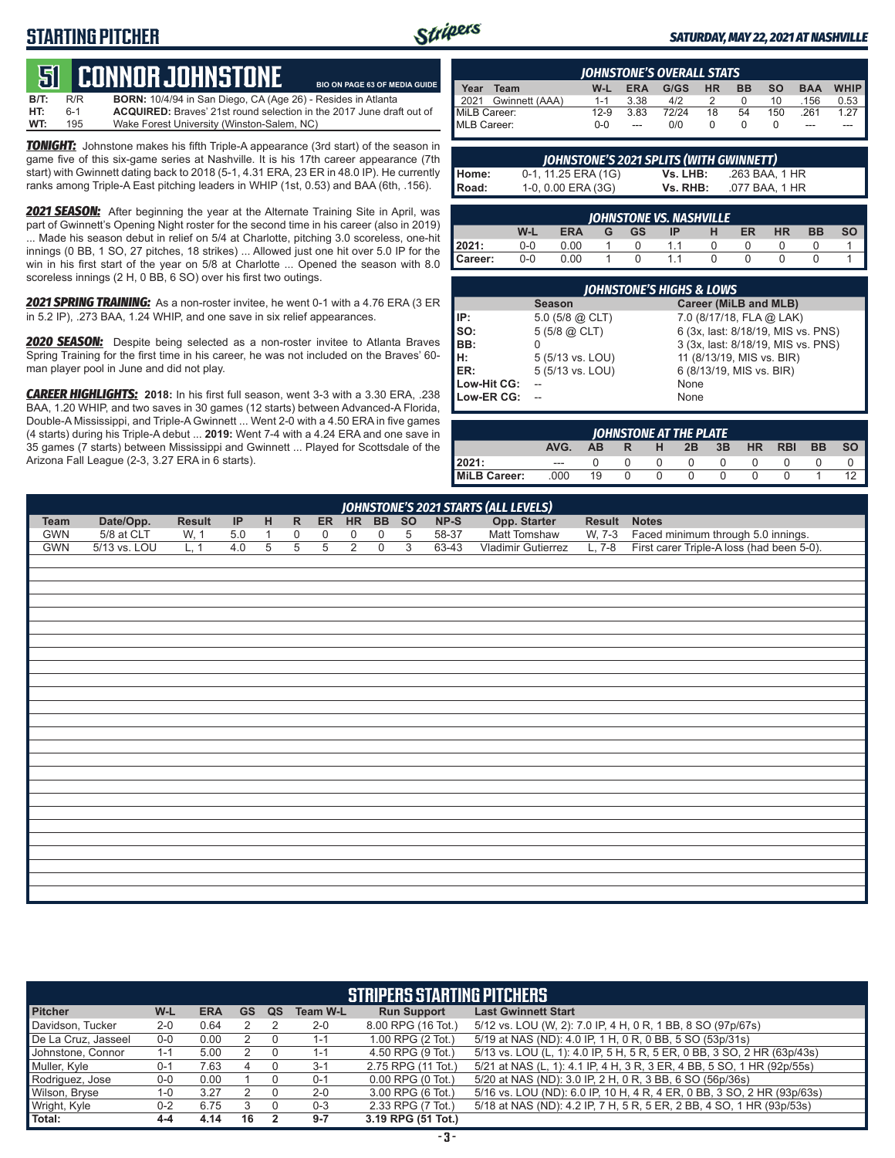## **STARTING PITCHER**



**BIO ON PAGE 63 OF MEDIA GUIDE**

#### *SATURDAY, MAY 22, 2021 AT NASHVILLE*

# **51****CONNOR JOHNSTONE**

**B/T:** R/R **BORN:** 10/4/94 in San Diego, CA (Age 26) - Resides in Atlanta ACQUIRED: Braves' 21st round selection in the 2017 June draft out of **WT:** 195 Wake Forest University (Winston-Salem, NC)

*TONIGHT:* Johnstone makes his fifth Triple-A appearance (3rd start) of the season in game five of this six-game series at Nashville. It is his 17th career appearance (7th start) with Gwinnett dating back to 2018 (5-1, 4.31 ERA, 23 ER in 48.0 IP). He currently ranks among Triple-A East pitching leaders in WHIP (1st, 0.53) and BAA (6th, .156).

*2021 SEASON:* After beginning the year at the Alternate Training Site in April, was part of Gwinnett's Opening Night roster for the second time in his career (also in 2019) ... Made his season debut in relief on 5/4 at Charlotte, pitching 3.0 scoreless, one-hit innings (0 BB, 1 SO, 27 pitches, 18 strikes) ... Allowed just one hit over 5.0 IP for the win in his first start of the year on 5/8 at Charlotte ... Opened the season with 8.0 scoreless innings (2 H, 0 BB, 6 SO) over his first two outings.

*2021 SPRING TRAINING:* As a non-roster invitee, he went 0-1 with a 4.76 ERA (3 ER in 5.2 IP), .273 BAA, 1.24 WHIP, and one save in six relief appearances.

*2020 SEASON:* Despite being selected as a non-roster invitee to Atlanta Braves Spring Training for the first time in his career, he was not included on the Braves' 60 man player pool in June and did not play.

*CAREER HIGHLIGHTS:* **2018:** In his first full season, went 3-3 with a 3.30 ERA, .238 BAA, 1.20 WHIP, and two saves in 30 games (12 starts) between Advanced-A Florida, Double-A Mississippi, and Triple-A Gwinnett ... Went 2-0 with a 4.50 ERA in five games (4 starts) during his Triple-A debut ... **2019:** Went 7-4 with a 4.24 ERA and one save in 35 games (7 starts) between Mississippi and Gwinnett ... Played for Scottsdale of the Arizona Fall League (2-3, 3.27 ERA in 6 starts).

| <b>IOHNSTONE'S OVERALL STATS</b> |                     |         |            |       |           |           |           |            |        |
|----------------------------------|---------------------|---------|------------|-------|-----------|-----------|-----------|------------|--------|
| Year                             | Team                | W-L     | <b>ERA</b> | G/GS  | <b>HR</b> | <b>BB</b> | <b>SO</b> | <b>BAA</b> | WHIP I |
|                                  | 2021 Gwinnett (AAA) | $1 - 1$ | 3.38       | 4/2   |           |           | 10        | .156       | 0.53   |
| MiLB Career:                     |                     | $12-9$  | 3.83       | 72/24 | 18        | 54        | 150       | 261        | 1.27   |
| MLB Career:                      |                     | $0 - 0$ | $-$        | 0/0   |           |           |           | ---        |        |

| JOHNSTONE'S 2021 SPLITS (WITH GWINNETT) |                     |          |                |  |  |  |
|-----------------------------------------|---------------------|----------|----------------|--|--|--|
| Home:                                   | 0-1, 11.25 ERA (1G) | Vs. LHB: | .263 BAA. 1 HR |  |  |  |
| <b>Road:</b>                            | 1-0, 0.00 ERA (3G)  | Vs. RHB: | .077 BAA, 1 HR |  |  |  |

| <b>JOHNSTONE VS. NASHVILLE</b> |     |            |   |    |    |  |    |           |    |  |
|--------------------------------|-----|------------|---|----|----|--|----|-----------|----|--|
|                                | W-L | <b>ERA</b> | G | GS | IP |  | ER | <b>HR</b> | BB |  |
| 2021:                          | 0-0 | 0.00       |   |    |    |  |    |           |    |  |
| Career:                        | 0-0 | 0.00       |   |    |    |  |    |           |    |  |

| <b>JOHNSTONE'S HIGHS &amp; LOWS</b> |                     |                                    |  |  |  |  |  |  |  |  |
|-------------------------------------|---------------------|------------------------------------|--|--|--|--|--|--|--|--|
|                                     | <b>Season</b>       | Career (MiLB and MLB)              |  |  |  |  |  |  |  |  |
| IP:                                 | 5.0 (5/8 $@$ CLT)   | 7.0 (8/17/18, FLA @ LAK)           |  |  |  |  |  |  |  |  |
| so:                                 | $5(5/8)$ $(2)$ CLT) | 6 (3x, last: 8/18/19, MIS vs. PNS) |  |  |  |  |  |  |  |  |
| BB:                                 |                     | 3 (3x, last: 8/18/19, MIS vs. PNS) |  |  |  |  |  |  |  |  |
| lн:                                 | 5 (5/13 vs. LOU)    | 11 (8/13/19, MIS vs. BIR)          |  |  |  |  |  |  |  |  |
| ER:                                 | 5 (5/13 vs. LOU)    | 6 (8/13/19, MIS vs. BIR)           |  |  |  |  |  |  |  |  |
| Low-Hit CG:                         |                     | None                               |  |  |  |  |  |  |  |  |
| Low-ER CG:                          |                     | None                               |  |  |  |  |  |  |  |  |

| <b>IOHNSTONE AT THE PLATE</b> |         |     |          |    |          |          |           |            |           |           |
|-------------------------------|---------|-----|----------|----|----------|----------|-----------|------------|-----------|-----------|
|                               | AVG.    | AB. | R        | н. | 2B       | 3B       | <b>HR</b> | <b>RBI</b> | <b>BB</b> | <b>SO</b> |
| 12021:                        | $- - -$ |     |          |    | $\Omega$ | $\Omega$ |           |            |           |           |
| MiLB Career:                  | .000    | 19  | $\Omega$ |    | 0        | O        |           |            |           |           |

|            | JOHNSTONE'S 2021 STARTS (ALL LEVELS) |               |     |              |              |       |                |                  |                |        |                    |        |                                           |
|------------|--------------------------------------|---------------|-----|--------------|--------------|-------|----------------|------------------|----------------|--------|--------------------|--------|-------------------------------------------|
| Team       | Date/Opp.                            | <b>Result</b> | IP  | H            | $\mathsf{R}$ | ER HR |                |                  | BB SO          | $NP-S$ | Opp. Starter       | Result | <b>Notes</b>                              |
| <b>GWN</b> | 5/8 at CLT                           | W, 1          | 5.0 | $\mathbf{1}$ | 0            | 0     | $\mathbf 0$    | $\mathbf 0$      | 5              | 58-37  | Matt Tomshaw       | W, 7-3 | Faced minimum through 5.0 innings.        |
| <b>GWN</b> | 5/13 vs. LOU                         | L, 1          | 4.0 | 5            | 5            | 5     | $\overline{2}$ | $\boldsymbol{0}$ | $\overline{3}$ | 63-43  | Vladimir Gutierrez | L, 7-8 | First carer Triple-A loss (had been 5-0). |
|            |                                      |               |     |              |              |       |                |                  |                |        |                    |        |                                           |
|            |                                      |               |     |              |              |       |                |                  |                |        |                    |        |                                           |
|            |                                      |               |     |              |              |       |                |                  |                |        |                    |        |                                           |
|            |                                      |               |     |              |              |       |                |                  |                |        |                    |        |                                           |
|            |                                      |               |     |              |              |       |                |                  |                |        |                    |        |                                           |
|            |                                      |               |     |              |              |       |                |                  |                |        |                    |        |                                           |
|            |                                      |               |     |              |              |       |                |                  |                |        |                    |        |                                           |
|            |                                      |               |     |              |              |       |                |                  |                |        |                    |        |                                           |
|            |                                      |               |     |              |              |       |                |                  |                |        |                    |        |                                           |
|            |                                      |               |     |              |              |       |                |                  |                |        |                    |        |                                           |
|            |                                      |               |     |              |              |       |                |                  |                |        |                    |        |                                           |
|            |                                      |               |     |              |              |       |                |                  |                |        |                    |        |                                           |
|            |                                      |               |     |              |              |       |                |                  |                |        |                    |        |                                           |
|            |                                      |               |     |              |              |       |                |                  |                |        |                    |        |                                           |
|            |                                      |               |     |              |              |       |                |                  |                |        |                    |        |                                           |
|            |                                      |               |     |              |              |       |                |                  |                |        |                    |        |                                           |
|            |                                      |               |     |              |              |       |                |                  |                |        |                    |        |                                           |
|            |                                      |               |     |              |              |       |                |                  |                |        |                    |        |                                           |
|            |                                      |               |     |              |              |       |                |                  |                |        |                    |        |                                           |
|            |                                      |               |     |              |              |       |                |                  |                |        |                    |        |                                           |
|            |                                      |               |     |              |              |       |                |                  |                |        |                    |        |                                           |
|            |                                      |               |     |              |              |       |                |                  |                |        |                    |        |                                           |
|            |                                      |               |     |              |              |       |                |                  |                |        |                    |        |                                           |
|            |                                      |               |     |              |              |       |                |                  |                |        |                    |        |                                           |
|            |                                      |               |     |              |              |       |                |                  |                |        |                    |        |                                           |

| <b>STRIPERS STARTING PITCHERS</b> |         |            |    |    |                 |                       |                                                                         |  |  |  |  |
|-----------------------------------|---------|------------|----|----|-----------------|-----------------------|-------------------------------------------------------------------------|--|--|--|--|
| <b>Pitcher</b>                    | W-L     | <b>ERA</b> | GS | QS | <b>Team W-L</b> | <b>Run Support</b>    | <b>Last Gwinnett Start</b>                                              |  |  |  |  |
| Davidson, Tucker                  | $2 - 0$ | 0.64       |    |    | $2 - 0$         | 8.00 RPG (16 Tot.)    | 5/12 vs. LOU (W, 2): 7.0 IP, 4 H, 0 R, 1 BB, 8 SO (97p/67s)             |  |  |  |  |
| De La Cruz, Jasseel               | $0-0$   | 0.00       |    |    | $1 - 1$         | 1.00 RPG (2 Tot.)     | 5/19 at NAS (ND): 4.0 IP, 1 H, 0 R, 0 BB, 5 SO (53p/31s)                |  |  |  |  |
| Johnstone, Connor                 | $1 - 1$ | 5.00       |    |    | $1 - 1$         | 4.50 RPG (9 Tot.)     | 5/13 vs. LOU (L, 1): 4.0 IP, 5 H, 5 R, 5 ER, 0 BB, 3 SO, 2 HR (63p/43s) |  |  |  |  |
| Muller, Kyle                      | $0 - 1$ | 7.63       |    |    | $3 - 1$         | 2.75 RPG (11 Tot.)    | 5/21 at NAS (L, 1): 4.1 IP, 4 H, 3 R, 3 ER, 4 BB, 5 SO, 1 HR (92p/55s)  |  |  |  |  |
| Rodriguez, Jose                   | $0 - 0$ | 0.00       |    |    | $0 - 1$         | $0.00$ RPG $(0$ Tot.) | 5/20 at NAS (ND): 3.0 IP, 2 H, 0 R, 3 BB, 6 SO (56p/36s)                |  |  |  |  |
| Wilson, Bryse                     | 1-0     | 3.27       |    |    | $2 - 0$         | 3.00 RPG (6 Tot.)     | 5/16 vs. LOU (ND): 6.0 IP, 10 H, 4 R, 4 ER, 0 BB, 3 SO, 2 HR (93p/63s)  |  |  |  |  |
| Wright, Kyle                      | $0 - 2$ | 6.75       |    |    | $0 - 3$         | 2.33 RPG (7 Tot.)     | 5/18 at NAS (ND): 4.2 IP, 7 H, 5 R, 5 ER, 2 BB, 4 SO, 1 HR (93p/53s)    |  |  |  |  |
| Total:                            | 4-4     | 4.14       | 16 |    | $9 - 7$         | 3.19 RPG (51 Tot.)    |                                                                         |  |  |  |  |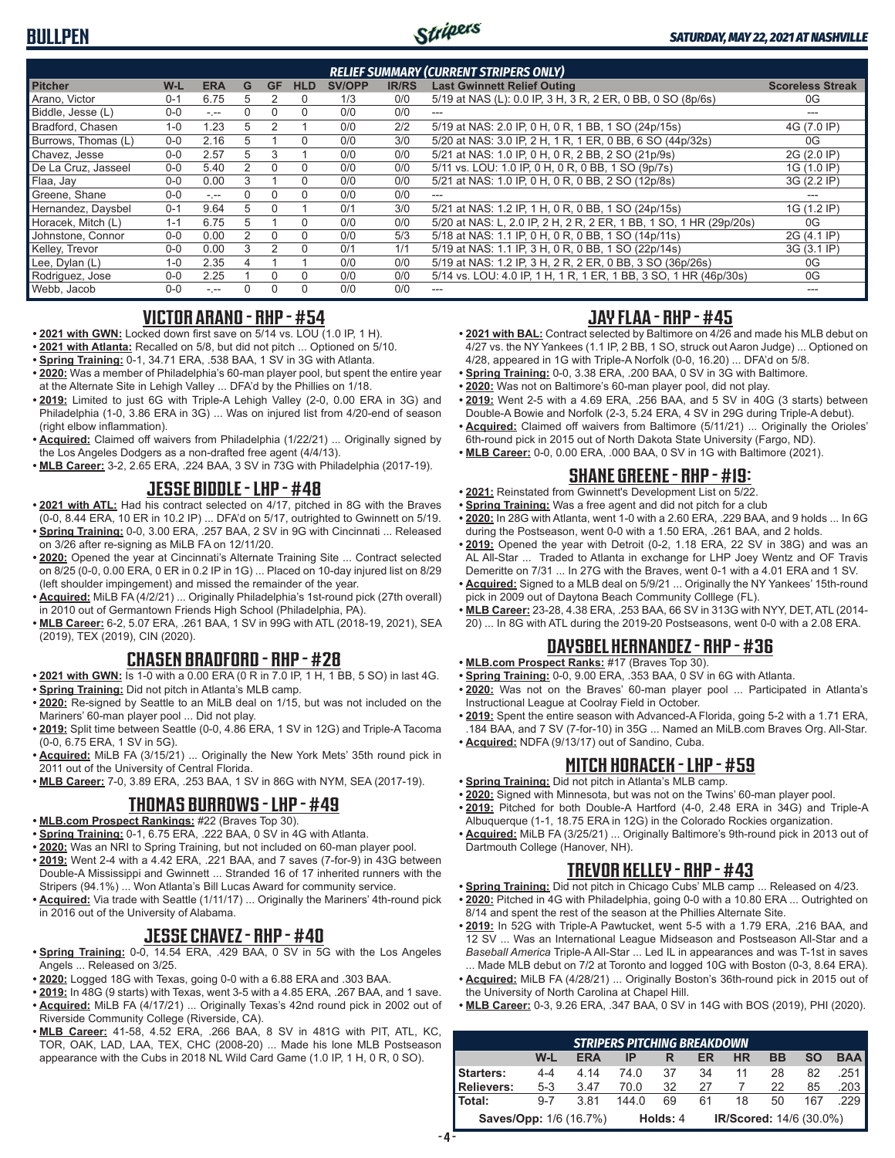

| <b>RELIEF SUMMARY (CURRENT STRIPERS ONLY)</b> |         |                 |   |           |            |               |              |                                                                    |                         |  |  |
|-----------------------------------------------|---------|-----------------|---|-----------|------------|---------------|--------------|--------------------------------------------------------------------|-------------------------|--|--|
| <b>Pitcher</b>                                | $W-L$   | <b>ERA</b>      | G | <b>GF</b> | <b>HLD</b> | <b>SV/OPP</b> | <b>IR/RS</b> | <b>Last Gwinnett Relief Outing</b>                                 | <b>Scoreless Streak</b> |  |  |
| Arano, Victor                                 | $0 - 1$ | 6.75            | 5 |           | 0          | 1/3           | 0/0          | 5/19 at NAS (L): 0.0 IP, 3 H, 3 R, 2 ER, 0 BB, 0 SO (8p/6s)        | 0G                      |  |  |
| Biddle, Jesse (L)                             | $0 - 0$ | $\sim$ , $\sim$ |   |           | $\Omega$   | 0/0           | 0/0          | $- - -$                                                            |                         |  |  |
| Bradford, Chasen                              | $1 - 0$ | 1.23            | 5 |           |            | 0/0           | 2/2          | 5/19 at NAS: 2.0 IP, 0 H, 0 R, 1 BB, 1 SO (24p/15s)                | 4G (7.0 IP)             |  |  |
| Burrows, Thomas (L)                           | $0 - 0$ | 2.16            | 5 |           | $\Omega$   | 0/0           | 3/0          | 5/20 at NAS: 3.0 IP, 2 H, 1 R, 1 ER, 0 BB, 6 SO (44p/32s)          | 0G                      |  |  |
| Chavez, Jesse                                 | $0 - 0$ | 2.57            | 5 |           |            | 0/0           | 0/0          | 5/21 at NAS: 1.0 IP, 0 H, 0 R, 2 BB, 2 SO (21p/9s)                 | 2G (2.0 IP)             |  |  |
| De La Cruz. Jasseel                           | $0-0$   | 5.40            | 2 |           | $\Omega$   | 0/0           | 0/0          | 5/11 vs. LOU: 1.0 IP, 0 H, 0 R, 0 BB, 1 SO (9p/7s)                 | 1G (1.0 IP)             |  |  |
| Flaa, Jay                                     | $0 - 0$ | 0.00            | 3 |           | 0          | 0/0           | 0/0          | 5/21 at NAS: 1.0 IP, 0 H, 0 R, 0 BB, 2 SO (12p/8s)                 | 3G (2.2 IP)             |  |  |
| Greene, Shane                                 | $0 - 0$ | $-1 - 1$        |   |           | $\Omega$   | 0/0           | 0/0          | $- - -$                                                            |                         |  |  |
| Hernandez, Daysbel                            | $0 - 1$ | 9.64            | 5 |           |            | 0/1           | 3/0          | 5/21 at NAS: 1.2 IP, 1 H, 0 R, 0 BB, 1 SO (24p/15s)                | 1G (1.2 IP)             |  |  |
| Horacek, Mitch (L)                            | $1 - 1$ | 6.75            | 5 |           | 0          | 0/0           | 0/0          | 5/20 at NAS: L, 2.0 IP, 2 H, 2 R, 2 ER, 1 BB, 1 SO, 1 HR (29p/20s) | 0G                      |  |  |
| Johnstone, Connor                             | $0 - 0$ | 0.00            |   | $\Omega$  | $\Omega$   | 0/0           | 5/3          | 5/18 at NAS: 1.1 IP, 0 H, 0 R, 0 BB, 1 SO (14p/11s)                | 2G (4.1 IP)             |  |  |
| Kelley, Trevor                                | $0 - 0$ | 0.00            | 3 |           | $\Omega$   | 0/1           | 1/1          | 5/19 at NAS: 1.1 IP, 3 H, 0 R, 0 BB, 1 SO (22p/14s)                | 3G (3.1 IP)             |  |  |
| Lee, Dylan (L)                                | $1 - 0$ | 2.35            |   |           |            | 0/0           | 0/0          | 5/19 at NAS: 1.2 IP, 3 H, 2 R, 2 ER, 0 BB, 3 SO (36p/26s)          | 0G                      |  |  |
| Rodriguez, Jose                               | $0 - 0$ | 2.25            |   |           | $\Omega$   | 0/0           | 0/0          | 5/14 vs. LOU: 4.0 IP, 1 H, 1 R, 1 ER, 1 BB, 3 SO, 1 HR (46p/30s)   | 0G                      |  |  |
| Webb, Jacob                                   | $0 - 0$ | $ -$            |   |           | 0          | 0/0           | 0/0          | ---                                                                |                         |  |  |

#### **VICTOR ARANO - RHP - #54**

- **• 2021 with GWN:** Locked down first save on 5/14 vs. LOU (1.0 IP, 1 H).
- **• 2021 with Atlanta:** Recalled on 5/8, but did not pitch ... Optioned on 5/10.
- **• Spring Training:** 0-1, 34.71 ERA, .538 BAA, 1 SV in 3G with Atlanta.
- **• 2020:** Was a member of Philadelphia's 60-man player pool, but spent the entire year at the Alternate Site in Lehigh Valley ... DFA'd by the Phillies on 1/18.
- **• 2019:** Limited to just 6G with Triple-A Lehigh Valley (2-0, 0.00 ERA in 3G) and Philadelphia (1-0, 3.86 ERA in 3G) ... Was on injured list from 4/20-end of season (right elbow inflammation).
- **• Acquired:** Claimed off waivers from Philadelphia (1/22/21) ... Originally signed by the Los Angeles Dodgers as a non-drafted free agent (4/4/13).
- **• MLB Career:** 3-2, 2.65 ERA, .224 BAA, 3 SV in 73G with Philadelphia (2017-19).

### **JESSE BIDDLE - LHP - #48**

- **• 2021 with ATL:** Had his contract selected on 4/17, pitched in 8G with the Braves (0-0, 8.44 ERA, 10 ER in 10.2 IP) ... DFA'd on 5/17, outrighted to Gwinnett on 5/19.
- **• Spring Training:** 0-0, 3.00 ERA, .257 BAA, 2 SV in 9G with Cincinnati ... Released on 3/26 after re-signing as MiLB FA on 12/11/20.
- **• 2020:** Opened the year at Cincinnati's Alternate Training Site ... Contract selected on 8/25 (0-0, 0.00 ERA, 0 ER in 0.2 IP in 1G) ... Placed on 10-day injured list on 8/29 (left shoulder impingement) and missed the remainder of the year.
- **• Acquired:** MiLB FA (4/2/21) ... Originally Philadelphia's 1st-round pick (27th overall) in 2010 out of Germantown Friends High School (Philadelphia, PA).
- **• MLB Career:** 6-2, 5.07 ERA, .261 BAA, 1 SV in 99G with ATL (2018-19, 2021), SEA (2019), TEX (2019), CIN (2020).

#### **CHASEN BRADFORD - RHP - #28**

- **• 2021 with GWN:** Is 1-0 with a 0.00 ERA (0 R in 7.0 IP, 1 H, 1 BB, 5 SO) in last 4G. **• Spring Training:** Did not pitch in Atlanta's MLB camp.
- **• 2020:** Re-signed by Seattle to an MiLB deal on 1/15, but was not included on the Mariners' 60-man player pool ... Did not play.
- **• 2019:** Split time between Seattle (0-0, 4.86 ERA, 1 SV in 12G) and Triple-A Tacoma (0-0, 6.75 ERA, 1 SV in 5G).
- **• Acquired:** MiLB FA (3/15/21) ... Originally the New York Mets' 35th round pick in 2011 out of the University of Central Florida.
- **• MLB Career:** 7-0, 3.89 ERA, .253 BAA, 1 SV in 86G with NYM, SEA (2017-19).

### **THOMAS BURROWS - LHP - #49**

- **• MLB.com Prospect Rankings:** #22 (Braves Top 30).
- **• Spring Training:** 0-1, 6.75 ERA, .222 BAA, 0 SV in 4G with Atlanta.
- **• 2020:** Was an NRI to Spring Training, but not included on 60-man player pool. **• 2019:** Went 2-4 with a 4.42 ERA, .221 BAA, and 7 saves (7-for-9) in 43G between Double-A Mississippi and Gwinnett ... Stranded 16 of 17 inherited runners with the
- Stripers (94.1%) ... Won Atlanta's Bill Lucas Award for community service. **• Acquired:** Via trade with Seattle (1/11/17) ... Originally the Mariners' 4th-round pick in 2016 out of the University of Alabama.

#### **JESSE CHAVEZ - RHP - #40**

- **• Spring Training:** 0-0, 14.54 ERA, .429 BAA, 0 SV in 5G with the Los Angeles Angels ... Released on 3/25.
- **• 2020:** Logged 18G with Texas, going 0-0 with a 6.88 ERA and .303 BAA.
- **• 2019:** In 48G (9 starts) with Texas, went 3-5 with a 4.85 ERA, .267 BAA, and 1 save.
- **• Acquired:** MiLB FA (4/17/21) ... Originally Texas's 42nd round pick in 2002 out of Riverside Community College (Riverside, CA).
- **• MLB Career:** 41-58, 4.52 ERA, .266 BAA, 8 SV in 481G with PIT, ATL, KC, TOR, OAK, LAD, LAA, TEX, CHC (2008-20) ... Made his lone MLB Postseason appearance with the Cubs in 2018 NL Wild Card Game (1.0 IP, 1 H, 0 R, 0 SO).

### **JAY FLAA - RHP - #45**

- **• 2021 with BAL:** Contract selected by Baltimore on 4/26 and made his MLB debut on 4/27 vs. the NY Yankees (1.1 IP, 2 BB, 1 SO, struck out Aaron Judge) ... Optioned on 4/28, appeared in 1G with Triple-A Norfolk (0-0, 16.20) ... DFA'd on 5/8.
- **• Spring Training:** 0-0, 3.38 ERA, .200 BAA, 0 SV in 3G with Baltimore.
- **• 2020:** Was not on Baltimore's 60-man player pool, did not play.
- **• 2019:** Went 2-5 with a 4.69 ERA, .256 BAA, and 5 SV in 40G (3 starts) between Double-A Bowie and Norfolk (2-3, 5.24 ERA, 4 SV in 29G during Triple-A debut).
- **• Acquired:** Claimed off waivers from Baltimore (5/11/21) ... Originally the Orioles' 6th-round pick in 2015 out of North Dakota State University (Fargo, ND).
- **• MLB Career:** 0-0, 0.00 ERA, .000 BAA, 0 SV in 1G with Baltimore (2021).

### **SHANE GREENE - RHP - #19:**

- **• 2021:** Reinstated from Gwinnett's Development List on 5/22.
- **• Spring Training:** Was a free agent and did not pitch for a club
- **• 2020:** In 28G with Atlanta, went 1-0 with a 2.60 ERA, .229 BAA, and 9 holds ... In 6G during the Postseason, went 0-0 with a 1.50 ERA, .261 BAA, and 2 holds.
- **• 2019:** Opened the year with Detroit (0-2, 1.18 ERA, 22 SV in 38G) and was an AL All-Star ... Traded to Atlanta in exchange for LHP Joey Wentz and OF Travis Demeritte on 7/31 ... In 27G with the Braves, went 0-1 with a 4.01 ERA and 1 SV.
- **• Acquired:** Signed to a MLB deal on 5/9/21 ... Originally the NY Yankees' 15th-round pick in 2009 out of Daytona Beach Community Colllege (FL).
- **• MLB Career:** 23-28, 4.38 ERA, .253 BAA, 66 SV in 313G with NYY, DET, ATL (2014- 20) ... In 8G with ATL during the 2019-20 Postseasons, went 0-0 with a 2.08 ERA.

#### **DAYSBEL HERNANDEZ - RHP - #36**

- **• MLB.com Prospect Ranks:** #17 (Braves Top 30).
- **• Spring Training:** 0-0, 9.00 ERA, .353 BAA, 0 SV in 6G with Atlanta.
- **• 2020:** Was not on the Braves' 60-man player pool ... Participated in Atlanta's Instructional League at Coolray Field in October.
- **• 2019:** Spent the entire season with Advanced-A Florida, going 5-2 with a 1.71 ERA, .184 BAA, and 7 SV (7-for-10) in 35G ... Named an MiLB.com Braves Org. All-Star.
- **• Acquired:** NDFA (9/13/17) out of Sandino, Cuba.

## **MITCH HORACEK - LHP - #59**

- **• Spring Training:** Did not pitch in Atlanta's MLB camp.
- **• 2020:** Signed with Minnesota, but was not on the Twins' 60-man player pool.
- **• 2019:** Pitched for both Double-A Hartford (4-0, 2.48 ERA in 34G) and Triple-A Albuquerque (1-1, 18.75 ERA in 12G) in the Colorado Rockies organization.
- **• Acquired:** MiLB FA (3/25/21) ... Originally Baltimore's 9th-round pick in 2013 out of Dartmouth College (Hanover, NH).

### **TREVOR KELLEY - RHP - #43**

- **• Spring Training:** Did not pitch in Chicago Cubs' MLB camp ... Released on 4/23. **• 2020:** Pitched in 4G with Philadelphia, going 0-0 with a 10.80 ERA ... Outrighted on
- 8/14 and spent the rest of the season at the Phillies Alternate Site. **• 2019:** In 52G with Triple-A Pawtucket, went 5-5 with a 1.79 ERA, .216 BAA, and
- 12 SV ... Was an International League Midseason and Postseason All-Star and a *Baseball America* Triple-A All-Star ... Led IL in appearances and was T-1st in saves ... Made MLB debut on 7/2 at Toronto and logged 10G with Boston (0-3, 8.64 ERA).
- **• Acquired:** MiLB FA (4/28/21) ... Originally Boston's 36th-round pick in 2015 out of the University of North Carolina at Chapel Hill.
- **• MLB Career:** 0-3, 9.26 ERA, .347 BAA, 0 SV in 14G with BOS (2019), PHI (2020).

| <b>STRIPERS PITCHING BREAKDOWN</b> |         |            |       |          |      |           |           |           |                         |  |  |
|------------------------------------|---------|------------|-------|----------|------|-----------|-----------|-----------|-------------------------|--|--|
|                                    | W-L     | <b>ERA</b> | IP    | R        | ER   | <b>HR</b> | <b>BB</b> | <b>SO</b> | <b>BAA</b>              |  |  |
| <b>Starters:</b>                   | $4 - 4$ | 4.14       | 74.0  | 37       | 34   | 11        | 28        | 82        | .251                    |  |  |
| <b>Relievers:</b>                  | $5 - 3$ | 3.47       | 70.0  | 32       | - 27 |           | $-22$     | 85        | .203                    |  |  |
| Total:                             | $9 - 7$ | 3.81       | 144.0 | 69       | 61   | 18        | 50        | 167       | .229                    |  |  |
| <b>Saves/Opp: 1/6 (16.7%)</b>      |         |            |       | Holds: 4 |      |           |           |           | IR/Scored: 14/6 (30.0%) |  |  |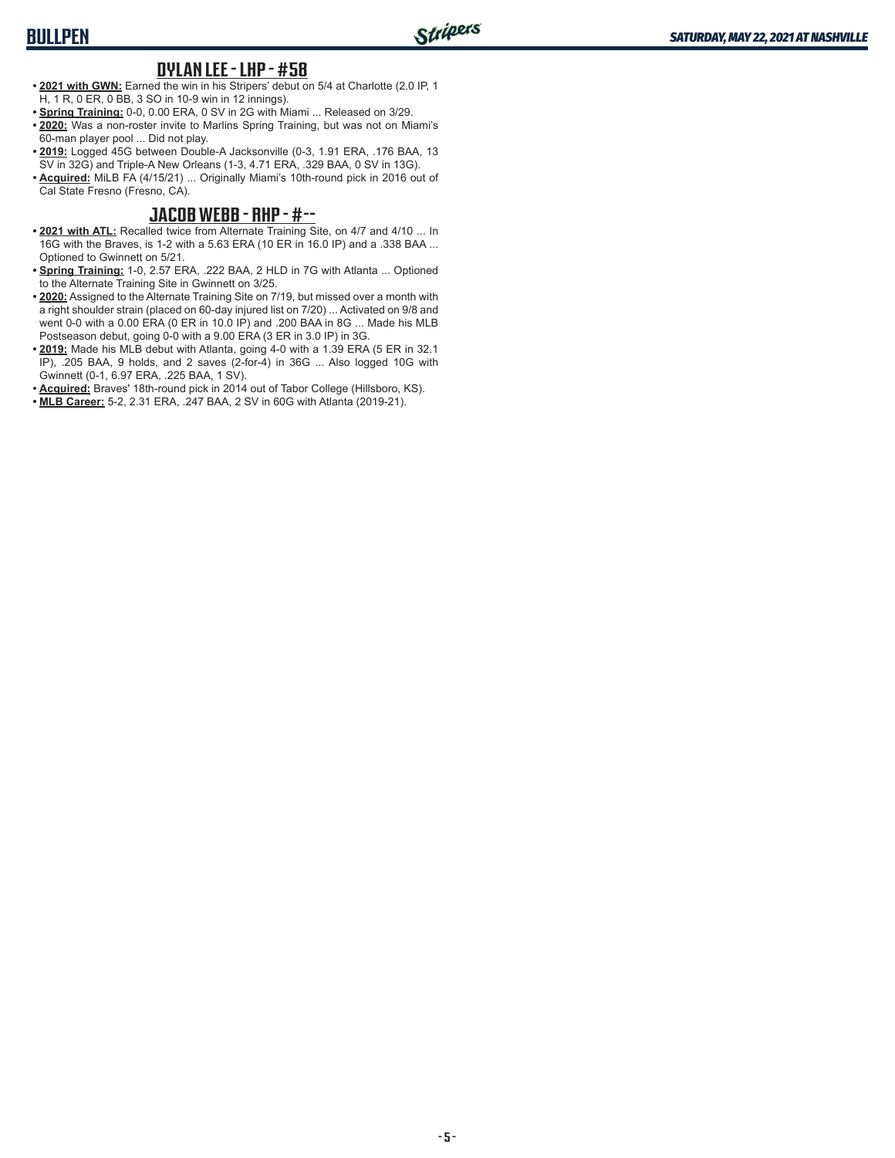#### **DYLAN LEE - LHP - #58**

- **• 2021 with GWN:** Earned the win in his Stripers' debut on 5/4 at Charlotte (2.0 IP, 1 H, 1 R, 0 ER, 0 BB, 3 SO in 10-9 win in 12 innings).
- **• Spring Training:** 0-0, 0.00 ERA, 0 SV in 2G with Miami ... Released on 3/29.
- **• 2020:** Was a non-roster invite to Marlins Spring Training, but was not on Miami's 60-man player pool ... Did not play.
- **• 2019:** Logged 45G between Double-A Jacksonville (0-3, 1.91 ERA, .176 BAA, 13 SV in 32G) and Triple-A New Orleans (1-3, 4.71 ERA, .329 BAA, 0 SV in 13G).
- **• Acquired:** MiLB FA (4/15/21) ... Originally Miami's 10th-round pick in 2016 out of Cal State Fresno (Fresno, CA).

#### **JACOB WEBB - RHP - #--**

- **• 2021 with ATL:** Recalled twice from Alternate Training Site, on 4/7 and 4/10 ... In 16G with the Braves, is 1-2 with a 5.63 ERA (10 ER in 16.0 IP) and a .338 BAA ... Optioned to Gwinnett on 5/21.
- **• Spring Training:** 1-0, 2.57 ERA, .222 BAA, 2 HLD in 7G with Atlanta ... Optioned to the Alternate Training Site in Gwinnett on 3/25.
- **• 2020:** Assigned to the Alternate Training Site on 7/19, but missed over a month with a right shoulder strain (placed on 60-day injured list on 7/20) ... Activated on 9/8 and went 0-0 with a 0.00 ERA (0 ER in 10.0 IP) and .200 BAA in 8G ... Made his MLB Postseason debut, going 0-0 with a 9.00 ERA (3 ER in 3.0 IP) in 3G.
- **• 2019:** Made his MLB debut with Atlanta, going 4-0 with a 1.39 ERA (5 ER in 32.1 IP), .205 BAA, 9 holds, and 2 saves (2-for-4) in 36G ... Also logged 10G with Gwinnett (0-1, 6.97 ERA, .225 BAA, 1 SV).
- **• Acquired:** Braves' 18th-round pick in 2014 out of Tabor College (Hillsboro, KS).
- **• MLB Career:** 5-2, 2.31 ERA, .247 BAA, 2 SV in 60G with Atlanta (2019-21).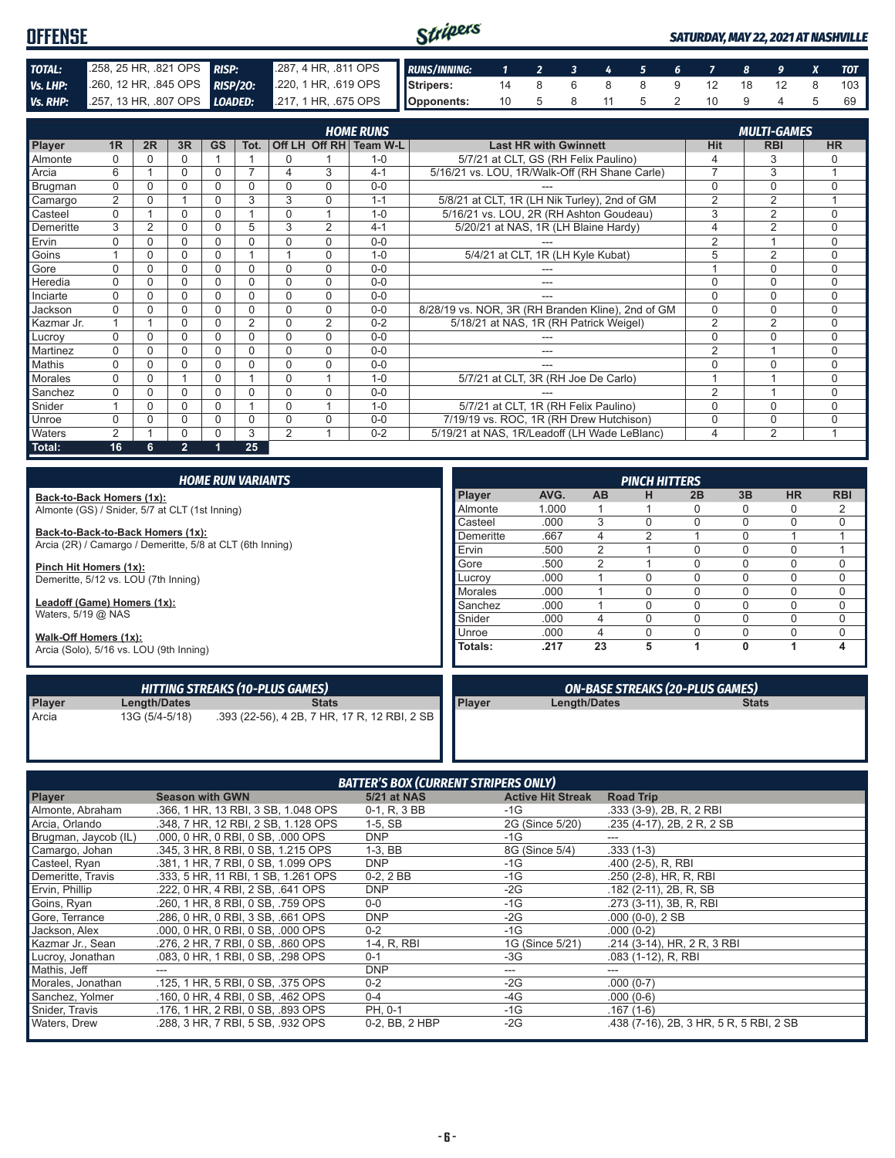| <b>OFFENSE</b> |                                                                                         |  | Stripers |  |  |  |  |  | <b>SATURDAY, MAY 22, 2021 AT NASHVILLE</b> |
|----------------|-----------------------------------------------------------------------------------------|--|----------|--|--|--|--|--|--------------------------------------------|
| TOTAL:         | 258, 25 HR, 821 OPS RISP: 287, 4 HR, 811 OPS RUNS/INNING: 1 2 3 4 5 6 7 8 9 X TOT       |  |          |  |  |  |  |  |                                            |
| Vs. LHP:       | 280, 12 HR, 845 OPS RISP/20: 220, 1 HR, 619 OPS Stripers: 14 8 6 8 9 12 18 12 8         |  |          |  |  |  |  |  | 103                                        |
|                | Vs. RHP: 257, 13 HR, 807 OPS LOADED: 217, 1 HR, 675 OPS Opponents: 10 5 8 11 5 2 10 9 4 |  |          |  |  |  |  |  |                                            |

| <b>HOME RUNS</b><br><b>MULTI-GAMES</b> |                |    |                |           |                |                |               |          |                                                   |                |                |             |
|----------------------------------------|----------------|----|----------------|-----------|----------------|----------------|---------------|----------|---------------------------------------------------|----------------|----------------|-------------|
| Player                                 | 1R             | 2R | 3R             | <b>GS</b> | Tot.           |                | Off LH Off RH | Team W-L | <b>Last HR with Gwinnett</b>                      | Hit            | <b>RBI</b>     | <b>HR</b>   |
| Almonte                                | $\Omega$       | 0  | 0              |           |                | 0              |               | $1 - 0$  | 5/7/21 at CLT, GS (RH Felix Paulino)              | 4              | 3              | $\Omega$    |
| Arcia                                  | 6              |    | 0              | 0         | $\overline{ }$ | 4              | 3             | $4 - 1$  | 5/16/21 vs. LOU, 1R/Walk-Off (RH Shane Carle)     | $\overline{7}$ | 3              | 1           |
| Brugman                                | $\Omega$       | 0  | 0              | 0         | 0              | 0              | $\Omega$      | $0 - 0$  |                                                   | 0              | 0              | $\mathbf 0$ |
| Camargo                                | $\overline{2}$ | U  |                | 0         | 3              | 3              | $\Omega$      | $1 - 1$  | 5/8/21 at CLT, 1R (LH Nik Turley), 2nd of GM      | $\overline{2}$ | $\overline{2}$ |             |
| Casteel                                | $\Omega$       |    | 0              | 0         |                | $\Omega$       |               | $1 - 0$  | 5/16/21 vs. LOU, 2R (RH Ashton Goudeau)           | 3              | $\overline{2}$ | $\Omega$    |
| Demeritte                              | 3              | 2  | 0              | 0         | 5              | 3              | 2             | $4 - 1$  | 5/20/21 at NAS, 1R (LH Blaine Hardy)              | 4              | $\overline{2}$ | $\Omega$    |
| Ervin                                  | U              | U  | 0              | 0         | O              | 0              | $\Omega$      | $0 - 0$  |                                                   | $\overline{2}$ |                | $\Omega$    |
| Goins                                  |                | U  | 0              | 0         |                |                | $\Omega$      | $1 - 0$  | 5/4/21 at CLT, 1R (LH Kyle Kubat)                 | 5              | $\overline{2}$ | $\Omega$    |
| Gore                                   | $\Omega$       | ∩  | 0              | 0         | 0              | $\Omega$       | $\Omega$      | $0-0$    |                                                   |                | $\Omega$       | $\Omega$    |
| Heredia                                | $\Omega$       |    | 0              | 0         | 0              | $\Omega$       | $\Omega$      | $0 - 0$  | ---                                               | 0              | $\mathbf 0$    | $\Omega$    |
| Inciarte                               | $\Omega$       |    | 0              | 0         | 0              | $\Omega$       | $\Omega$      | $0 - 0$  |                                                   | $\Omega$       | $\mathbf 0$    | $\Omega$    |
| Jackson                                | $\Omega$       |    | 0              | 0         | N              | $\Omega$       | $\Omega$      | $0 - 0$  | 8/28/19 vs. NOR, 3R (RH Branden Kline), 2nd of GM | $\Omega$       | $\mathbf 0$    | $\Omega$    |
| Kazmar Jr.                             |                |    | 0              | 0         | 2              | 0              | 2             | $0 - 2$  | 5/18/21 at NAS, 1R (RH Patrick Weigel)            | $\overline{2}$ | 2              | $\Omega$    |
| Lucroy                                 | $\Omega$       |    | 0              | 0         | 0              | $\Omega$       | $\Omega$      | $0 - 0$  |                                                   | 0              | $\Omega$       | $\Omega$    |
| Martinez                               | $\Omega$       |    | 0              | 0         | 0              | $\Omega$       | $\Omega$      | $0 - 0$  | ---                                               | $\overline{2}$ |                | $\Omega$    |
| Mathis                                 | $\Omega$       |    | 0              | 0         | 0              | $\Omega$       | $\Omega$      | $0-0$    | ---                                               | $\Omega$       | $\Omega$       | $\Omega$    |
| Morales                                | $\Omega$       |    |                | $\Omega$  |                | $\Omega$       |               | $1 - 0$  | 5/7/21 at CLT, 3R (RH Joe De Carlo)               |                |                | $\Omega$    |
| Sanchez                                | $\Omega$       |    | 0              | 0         | N              | $\Omega$       | $\Omega$      | $0 - 0$  |                                                   | $\overline{2}$ |                | $\Omega$    |
| Snider                                 |                | 0  | 0              | 0         |                | $\Omega$       |               | $1 - 0$  | 5/7/21 at CLT, 1R (RH Felix Paulino)              | 0              | $\Omega$       | $\Omega$    |
| Unroe                                  | $\Omega$       |    | 0              | 0         | O              | $\Omega$       | $\Omega$      | $0 - 0$  | 7/19/19 vs. ROC, 1R (RH Drew Hutchison)           | 0              | $\mathbf 0$    | $\Omega$    |
| Waters                                 | 2              |    | 0              | 0         | 3              | $\overline{2}$ |               | $0 - 2$  | 5/19/21 at NAS. 1R/Leadoff (LH Wade LeBlanc)      | 4              | 2              | ٠           |
| Total:                                 | 16             | 6  | $\overline{2}$ |           | 25             |                |               |          |                                                   |                |                |             |

| <b>HOME RUN VARIANTS</b>                                  |                |       |           | <b>PINCH HITTERS</b> |                                        |          |           |             |
|-----------------------------------------------------------|----------------|-------|-----------|----------------------|----------------------------------------|----------|-----------|-------------|
| Back-to-Back Homers (1x):                                 | Player         | AVG.  | <b>AB</b> | н                    | 2B                                     | 3B       | <b>HR</b> | <b>RBI</b>  |
| Almonte (GS) / Snider, 5/7 at CLT (1st Inning)            | Almonte        | 1.000 |           |                      |                                        | $\Omega$ | 0         | 2           |
|                                                           | Casteel        | .000  | 3         |                      |                                        | $\Omega$ | 0         | $\mathbf 0$ |
| Back-to-Back-to-Back Homers (1x):                         | Demeritte      | .667  | 4         |                      |                                        | $\Omega$ |           |             |
| Arcia (2R) / Camargo / Demeritte, 5/8 at CLT (6th Inning) | Ervin          | .500  | 2         |                      |                                        | $\Omega$ | 0         |             |
| Pinch Hit Homers (1x):                                    | Gore           | .500  | 2         |                      |                                        | $\Omega$ | 0         | $\mathbf 0$ |
| Demeritte, 5/12 vs. LOU (7th Inning)                      | Lucrov         | .000  |           |                      |                                        | $\Omega$ | 0         | $\mathbf 0$ |
|                                                           | <b>Morales</b> | .000  |           |                      |                                        | $\Omega$ | 0         | 0           |
| Leadoff (Game) Homers (1x):                               | Sanchez        | .000  |           |                      |                                        | $\Omega$ | 0         | $\mathbf 0$ |
| Waters, $5/19$ @ NAS                                      | Snider         | .000  | 4         |                      |                                        | $\Omega$ | 0         | $\Omega$    |
| Walk-Off Homers (1x):                                     | Unroe          | .000  | 4         |                      |                                        |          | 0         | $\mathbf 0$ |
| Arcia (Solo), 5/16 vs. LOU (9th Inning)                   | Totals:        | .217  | 23        | 5                    |                                        | 0        |           | 4           |
| HITTING STREAKS (10-PLUS GAMES)                           |                |       |           |                      | <b>ON-BASE STREAKS (20-PLUS GAMES)</b> |          |           |             |

|               |                | <b>HITTING STREAKS (10-PLUS GAMES)</b>                      |                 | <b>ON-BASE STREAKS (20-PLUS GAMES)</b> |              |
|---------------|----------------|-------------------------------------------------------------|-----------------|----------------------------------------|--------------|
| <b>Player</b> | Length/Dates   | Stats                                                       | <b>I</b> Plaver | Length/Dates                           | <b>Stats</b> |
| Arcia         | 13G (5/4-5/18) | .393 (22-56), 4 2B, 7 HR, 17 R, 12 RBI, 2 SB $\blacksquare$ |                 |                                        |              |

| <b>BATTER'S BOX (CURRENT STRIPERS ONLY)</b> |                                     |                    |                          |                                         |  |  |  |  |  |  |  |
|---------------------------------------------|-------------------------------------|--------------------|--------------------------|-----------------------------------------|--|--|--|--|--|--|--|
| <b>Player</b>                               | <b>Season with GWN</b>              | <b>5/21 at NAS</b> | <b>Active Hit Streak</b> | <b>Road Trip</b>                        |  |  |  |  |  |  |  |
| Almonte, Abraham                            | .366, 1 HR, 13 RBI, 3 SB, 1.048 OPS | 0-1, R, 3 BB       | -1G                      | $.333(3-9)$ , 2B, R, 2 RBI              |  |  |  |  |  |  |  |
| Arcia, Orlando                              | .348, 7 HR, 12 RBI, 2 SB, 1.128 OPS | $1-5$ , SB         | 2G (Since 5/20)          | .235 (4-17), 2B, 2R, 2SB                |  |  |  |  |  |  |  |
| Brugman, Jaycob (IL)                        | .000, 0 HR, 0 RBI, 0 SB, .000 OPS   | <b>DNP</b>         | $-1G$                    |                                         |  |  |  |  |  |  |  |
| Camargo, Johan                              | .345, 3 HR, 8 RBI, 0 SB, 1.215 OPS  | $1-3.$ BB          | 8G (Since 5/4)           | $.333(1-3)$                             |  |  |  |  |  |  |  |
| Casteel, Ryan                               | .381, 1 HR, 7 RBI, 0 SB, 1.099 OPS  | <b>DNP</b>         | -1G                      | .400 (2-5), R, RBI                      |  |  |  |  |  |  |  |
| Demeritte, Travis                           | .333, 5 HR, 11 RBI, 1 SB, 1.261 OPS | $0-2, 2BB$         | -1G                      | .250 (2-8), HR, R, RBI                  |  |  |  |  |  |  |  |
| Ervin, Phillip                              | .222, 0 HR, 4 RBI, 2 SB, .641 OPS   | <b>DNP</b>         | -2G                      | .182 (2-11), 2B, R, SB                  |  |  |  |  |  |  |  |
| Goins, Ryan                                 | .260. 1 HR. 8 RBI. 0 SB. .759 OPS   | $0-0$              | -1G                      | .273 (3-11), 3B, R, RBI                 |  |  |  |  |  |  |  |
| Gore, Terrance                              | .286, 0 HR, 0 RBI, 3 SB, .661 OPS   | <b>DNP</b>         | $-2G$                    | $.000(0-0), 2SB$                        |  |  |  |  |  |  |  |
| Jackson, Alex                               | .000, 0 HR, 0 RBI, 0 SB, .000 OPS   | $0 - 2$            | -1G                      | $.000(0-2)$                             |  |  |  |  |  |  |  |
| Kazmar Jr., Sean                            | .276, 2 HR, 7 RBI, 0 SB, .860 OPS   | 1-4, R, RBI        | 1G (Since 5/21)          | .214 (3-14), HR, 2 R, 3 RBI             |  |  |  |  |  |  |  |
| Lucroy, Jonathan                            | .083. 0 HR. 1 RBI. 0 SB. .298 OPS   | $0 - 1$            | -3G                      | $.083$ (1-12), R, RBI                   |  |  |  |  |  |  |  |
| Mathis, Jeff                                | ---                                 | <b>DNP</b>         | ---                      | ---                                     |  |  |  |  |  |  |  |
| Morales, Jonathan                           | .125, 1 HR, 5 RBI, 0 SB, .375 OPS   | $0 - 2$            | -2G                      | $.000(0-7)$                             |  |  |  |  |  |  |  |
| Sanchez, Yolmer                             | .160, 0 HR, 4 RBI, 0 SB, .462 OPS   | $0 - 4$            | -4G                      | $.000(0-6)$                             |  |  |  |  |  |  |  |
| Snider, Travis                              | .176, 1 HR, 2 RBI, 0 SB, .893 OPS   | PH, 0-1            | -1G                      | $.167(1-6)$                             |  |  |  |  |  |  |  |
| Waters, Drew                                | .288, 3 HR, 7 RBI, 5 SB, .932 OPS   | 0-2, BB, 2 HBP     | $-2G$                    | .438 (7-16), 2B, 3 HR, 5 R, 5 RBI, 2 SB |  |  |  |  |  |  |  |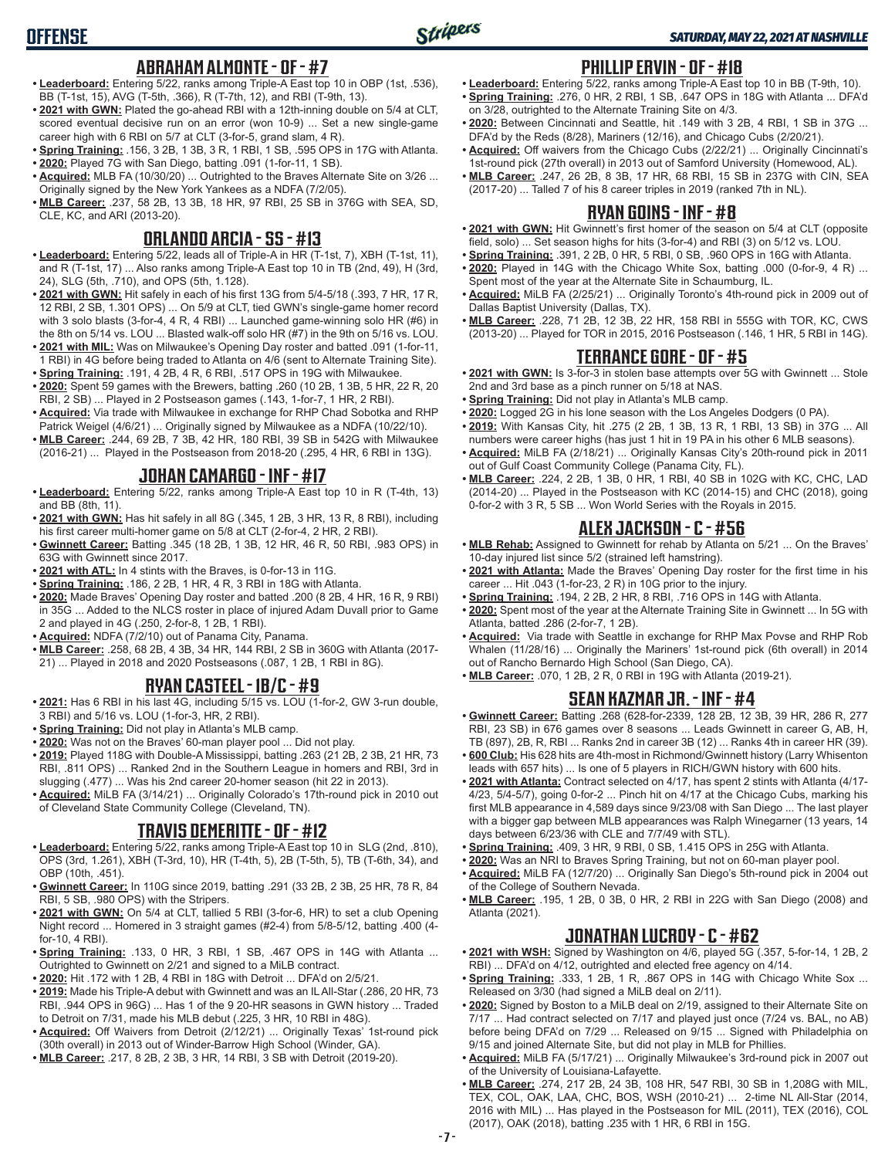## **ABRAHAM ALMONTE - OF - #7**

**• Leaderboard:** Entering 5/22, ranks among Triple-A East top 10 in OBP (1st, .536), BB (T-1st, 15), AVG (T-5th, .366), R (T-7th, 12), and RBI (T-9th, 13).

**OFFENSE**

- **• 2021 with GWN:** Plated the go-ahead RBI with a 12th-inning double on 5/4 at CLT, scored eventual decisive run on an error (won 10-9) ... Set a new single-game career high with 6 RBI on 5/7 at CLT (3-for-5, grand slam, 4 R).
- **• Spring Training:** .156, 3 2B, 1 3B, 3 R, 1 RBI, 1 SB, .595 OPS in 17G with Atlanta.
- **• 2020:** Played 7G with San Diego, batting .091 (1-for-11, 1 SB).
- **• Acquired:** MLB FA (10/30/20) ... Outrighted to the Braves Alternate Site on 3/26 ... Originally signed by the New York Yankees as a NDFA (7/2/05).
- **• MLB Career:** .237, 58 2B, 13 3B, 18 HR, 97 RBI, 25 SB in 376G with SEA, SD, CLE, KC, and ARI (2013-20).

### **ORLANDO ARCIA - SS - #13**

- **• Leaderboard:** Entering 5/22, leads all of Triple-A in HR (T-1st, 7), XBH (T-1st, 11), and R (T-1st, 17) ... Also ranks among Triple-A East top 10 in TB (2nd, 49), H (3rd, 24), SLG (5th, .710), and OPS (5th, 1.128).
- **• 2021 with GWN:** Hit safely in each of his first 13G from 5/4-5/18 (.393, 7 HR, 17 R, 12 RBI, 2 SB, 1.301 OPS) ... On 5/9 at CLT, tied GWN's single-game homer record with 3 solo blasts (3-for-4, 4 R, 4 RBI) ... Launched game-winning solo HR (#6) in the 8th on 5/14 vs. LOU ... Blasted walk-off solo HR (#7) in the 9th on 5/16 vs. LOU.
- **• 2021 with MIL:** Was on Milwaukee's Opening Day roster and batted .091 (1-for-11, 1 RBI) in 4G before being traded to Atlanta on 4/6 (sent to Alternate Training Site).
- **• Spring Training:** .191, 4 2B, 4 R, 6 RBI, .517 OPS in 19G with Milwaukee.
- **• 2020:** Spent 59 games with the Brewers, batting .260 (10 2B, 1 3B, 5 HR, 22 R, 20 RBI, 2 SB) ... Played in 2 Postseason games (.143, 1-for-7, 1 HR, 2 RBI).
- **• Acquired:** Via trade with Milwaukee in exchange for RHP Chad Sobotka and RHP Patrick Weigel (4/6/21) ... Originally signed by Milwaukee as a NDFA (10/22/10).
- **• MLB Career:** .244, 69 2B, 7 3B, 42 HR, 180 RBI, 39 SB in 542G with Milwaukee (2016-21) ... Played in the Postseason from 2018-20 (.295, 4 HR, 6 RBI in 13G).

### **JOHAN CAMARGO - INF - #17**

- **• Leaderboard:** Entering 5/22, ranks among Triple-A East top 10 in R (T-4th, 13) and BB (8th, 11).
- **• 2021 with GWN:** Has hit safely in all 8G (.345, 1 2B, 3 HR, 13 R, 8 RBI), including his first career multi-homer game on 5/8 at CLT (2-for-4, 2 HR, 2 RBI).
- **• Gwinnett Career:** Batting .345 (18 2B, 1 3B, 12 HR, 46 R, 50 RBI, .983 OPS) in 63G with Gwinnett since 2017.
- **• 2021 with ATL:** In 4 stints with the Braves, is 0-for-13 in 11G.
- **• Spring Training:** .186, 2 2B, 1 HR, 4 R, 3 RBI in 18G with Atlanta.
- **• 2020:** Made Braves' Opening Day roster and batted .200 (8 2B, 4 HR, 16 R, 9 RBI) in 35G ... Added to the NLCS roster in place of injured Adam Duvall prior to Game 2 and played in 4G (.250, 2-for-8, 1 2B, 1 RBI).
- **• Acquired:** NDFA (7/2/10) out of Panama City, Panama.
- **• MLB Career:** .258, 68 2B, 4 3B, 34 HR, 144 RBI, 2 SB in 360G with Atlanta (2017- 21) ... Played in 2018 and 2020 Postseasons (.087, 1 2B, 1 RBI in 8G).

### **RYAN CASTEEL - 1B/C - #9**

- **• 2021:** Has 6 RBI in his last 4G, including 5/15 vs. LOU (1-for-2, GW 3-run double, 3 RBI) and 5/16 vs. LOU (1-for-3, HR, 2 RBI).
- **• Spring Training:** Did not play in Atlanta's MLB camp.
- **• 2020:** Was not on the Braves' 60-man player pool ... Did not play.
- **• 2019:** Played 118G with Double-A Mississippi, batting .263 (21 2B, 2 3B, 21 HR, 73 RBI, .811 OPS) ... Ranked 2nd in the Southern League in homers and RBI, 3rd in slugging (.477) ... Was his 2nd career 20-homer season (hit 22 in 2013).
- **• Acquired:** MiLB FA (3/14/21) ... Originally Colorado's 17th-round pick in 2010 out of Cleveland State Community College (Cleveland, TN).

### **TRAVIS DEMERITTE - OF - #12**

- **• Leaderboard:** Entering 5/22, ranks among Triple-A East top 10 in SLG (2nd, .810), OPS (3rd, 1.261), XBH (T-3rd, 10), HR (T-4th, 5), 2B (T-5th, 5), TB (T-6th, 34), and OBP (10th, .451).
- **• Gwinnett Career:** In 110G since 2019, batting .291 (33 2B, 2 3B, 25 HR, 78 R, 84 RBI, 5 SB, .980 OPS) with the Stripers.
- **• 2021 with GWN:** On 5/4 at CLT, tallied 5 RBI (3-for-6, HR) to set a club Opening Night record ... Homered in 3 straight games (#2-4) from 5/8-5/12, batting .400 (4 for-10, 4 RBI).
- **• Spring Training:** .133, 0 HR, 3 RBI, 1 SB, .467 OPS in 14G with Atlanta ... Outrighted to Gwinnett on 2/21 and signed to a MiLB contract.
- **• 2020:** Hit .172 with 1 2B, 4 RBI in 18G with Detroit ... DFA'd on 2/5/21.
- **• 2019:** Made his Triple-A debut with Gwinnett and was an IL All-Star (.286, 20 HR, 73 RBI, .944 OPS in 96G) ... Has 1 of the 9 20-HR seasons in GWN history ... Traded to Detroit on 7/31, made his MLB debut (.225, 3 HR, 10 RBI in 48G).
- **• Acquired:** Off Waivers from Detroit (2/12/21) ... Originally Texas' 1st-round pick (30th overall) in 2013 out of Winder-Barrow High School (Winder, GA).
- **• MLB Career:** .217, 8 2B, 2 3B, 3 HR, 14 RBI, 3 SB with Detroit (2019-20).

#### **PHILLIP ERVIN - OF - #18**

- **• Leaderboard:** Entering 5/22, ranks among Triple-A East top 10 in BB (T-9th, 10). **• Spring Training:** .276, 0 HR, 2 RBI, 1 SB, .647 OPS in 18G with Atlanta ... DFA'd on 3/28, outrighted to the Alternate Training Site on 4/3.
- **• 2020:** Between Cincinnati and Seattle, hit .149 with 3 2B, 4 RBI, 1 SB in 37G ... DFA'd by the Reds (8/28), Mariners (12/16), and Chicago Cubs (2/20/21).
- **• Acquired:** Off waivers from the Chicago Cubs (2/22/21) ... Originally Cincinnati's 1st-round pick (27th overall) in 2013 out of Samford University (Homewood, AL).
- **• MLB Career:** .247, 26 2B, 8 3B, 17 HR, 68 RBI, 15 SB in 237G with CIN, SEA (2017-20) ... Talled 7 of his 8 career triples in 2019 (ranked 7th in NL).

#### **RYAN GOINS - INF - #8**

- **• 2021 with GWN:** Hit Gwinnett's first homer of the season on 5/4 at CLT (opposite field, solo) ... Set season highs for hits (3-for-4) and RBI (3) on 5/12 vs. LOU.
- **• Spring Training:** .391, 2 2B, 0 HR, 5 RBI, 0 SB, .960 OPS in 16G with Atlanta.
- **• 2020:** Played in 14G with the Chicago White Sox, batting .000 (0-for-9, 4 R) ... Spent most of the year at the Alternate Site in Schaumburg, IL.
- **• Acquired:** MiLB FA (2/25/21) ... Originally Toronto's 4th-round pick in 2009 out of Dallas Baptist University (Dallas, TX).
- **• MLB Career:** .228, 71 2B, 12 3B, 22 HR, 158 RBI in 555G with TOR, KC, CWS (2013-20) ... Played for TOR in 2015, 2016 Postseason (.146, 1 HR, 5 RBI in 14G).

#### **TERRANCE GORE - OF - #5**

- **• 2021 with GWN:** Is 3-for-3 in stolen base attempts over 5G with Gwinnett ... Stole 2nd and 3rd base as a pinch runner on 5/18 at NAS.
- **• Spring Training:** Did not play in Atlanta's MLB camp.
- **• 2020:** Logged 2G in his lone season with the Los Angeles Dodgers (0 PA).
- **• 2019:** With Kansas City, hit .275 (2 2B, 1 3B, 13 R, 1 RBI, 13 SB) in 37G ... All numbers were career highs (has just 1 hit in 19 PA in his other 6 MLB seasons).
- **• Acquired:** MiLB FA (2/18/21) ... Originally Kansas City's 20th-round pick in 2011 out of Gulf Coast Community College (Panama City, FL).
- **• MLB Career:** .224, 2 2B, 1 3B, 0 HR, 1 RBI, 40 SB in 102G with KC, CHC, LAD (2014-20) ... Played in the Postseason with KC (2014-15) and CHC (2018), going 0-for-2 with 3 R, 5 SB ... Won World Series with the Royals in 2015.

#### **ALEX JACKSON - C - #56**

- **• MLB Rehab:** Assigned to Gwinnett for rehab by Atlanta on 5/21 ... On the Braves' 10-day injured list since 5/2 (strained left hamstring).
- **• 2021 with Atlanta:** Made the Braves' Opening Day roster for the first time in his career ... Hit .043 (1-for-23, 2 R) in 10G prior to the injury.
- **• Spring Training:** .194, 2 2B, 2 HR, 8 RBI, .716 OPS in 14G with Atlanta.
- **• 2020:** Spent most of the year at the Alternate Training Site in Gwinnett ... In 5G with Atlanta, batted .286 (2-for-7, 1 2B).
- **• Acquired:** Via trade with Seattle in exchange for RHP Max Povse and RHP Rob Whalen (11/28/16) ... Originally the Mariners' 1st-round pick (6th overall) in 2014 out of Rancho Bernardo High School (San Diego, CA).
- **• MLB Career:** .070, 1 2B, 2 R, 0 RBI in 19G with Atlanta (2019-21).

#### **SEAN KAZMAR JR. - INF - #4**

- **• Gwinnett Career:** Batting .268 (628-for-2339, 128 2B, 12 3B, 39 HR, 286 R, 277 RBI, 23 SB) in 676 games over 8 seasons ... Leads Gwinnett in career G, AB, H, TB (897), 2B, R, RBI ... Ranks 2nd in career 3B (12) ... Ranks 4th in career HR (39).
- **• 600 Club:** His 628 hits are 4th-most in Richmond/Gwinnett history (Larry Whisenton leads with 657 hits) ... Is one of 5 players in RICH/GWN history with 600 hits.
- **• 2021 with Atlanta:** Contract selected on 4/17, has spent 2 stints with Atlanta (4/17- 4/23, 5/4-5/7), going 0-for-2 ... Pinch hit on 4/17 at the Chicago Cubs, marking his first MLB appearance in 4,589 days since 9/23/08 with San Diego ... The last player with a bigger gap between MLB appearances was Ralph Winegarner (13 years, 14 days between 6/23/36 with CLE and 7/7/49 with STL).
- **• Spring Training:** .409, 3 HR, 9 RBI, 0 SB, 1.415 OPS in 25G with Atlanta.
- **• 2020:** Was an NRI to Braves Spring Training, but not on 60-man player pool.
- **• Acquired:** MiLB FA (12/7/20) ... Originally San Diego's 5th-round pick in 2004 out of the College of Southern Nevada.
- **• MLB Career:** .195, 1 2B, 0 3B, 0 HR, 2 RBI in 22G with San Diego (2008) and Atlanta (2021).

#### **JONATHAN LUCROY - C - #62**

- **• 2021 with WSH:** Signed by Washington on 4/6, played 5G (.357, 5-for-14, 1 2B, 2 RBI) ... DFA'd on 4/12, outrighted and elected free agency on 4/14.
- **• Spring Training:** .333, 1 2B, 1 R, .867 OPS in 14G with Chicago White Sox ... Released on 3/30 (had signed a MiLB deal on 2/11).
- **• 2020:** Signed by Boston to a MiLB deal on 2/19, assigned to their Alternate Site on 7/17 ... Had contract selected on 7/17 and played just once (7/24 vs. BAL, no AB) before being DFA'd on 7/29 ... Released on 9/15 ... Signed with Philadelphia on 9/15 and joined Alternate Site, but did not play in MLB for Phillies.
- **• Acquired:** MiLB FA (5/17/21) ... Originally Milwaukee's 3rd-round pick in 2007 out of the University of Louisiana-Lafayette.
- **• MLB Career:** .274, 217 2B, 24 3B, 108 HR, 547 RBI, 30 SB in 1,208G with MIL, TEX, COL, OAK, LAA, CHC, BOS, WSH (2010-21) ... 2-time NL All-Star (2014, 2016 with MIL) ... Has played in the Postseason for MIL (2011), TEX (2016), COL (2017), OAK (2018), batting .235 with 1 HR, 6 RBI in 15G.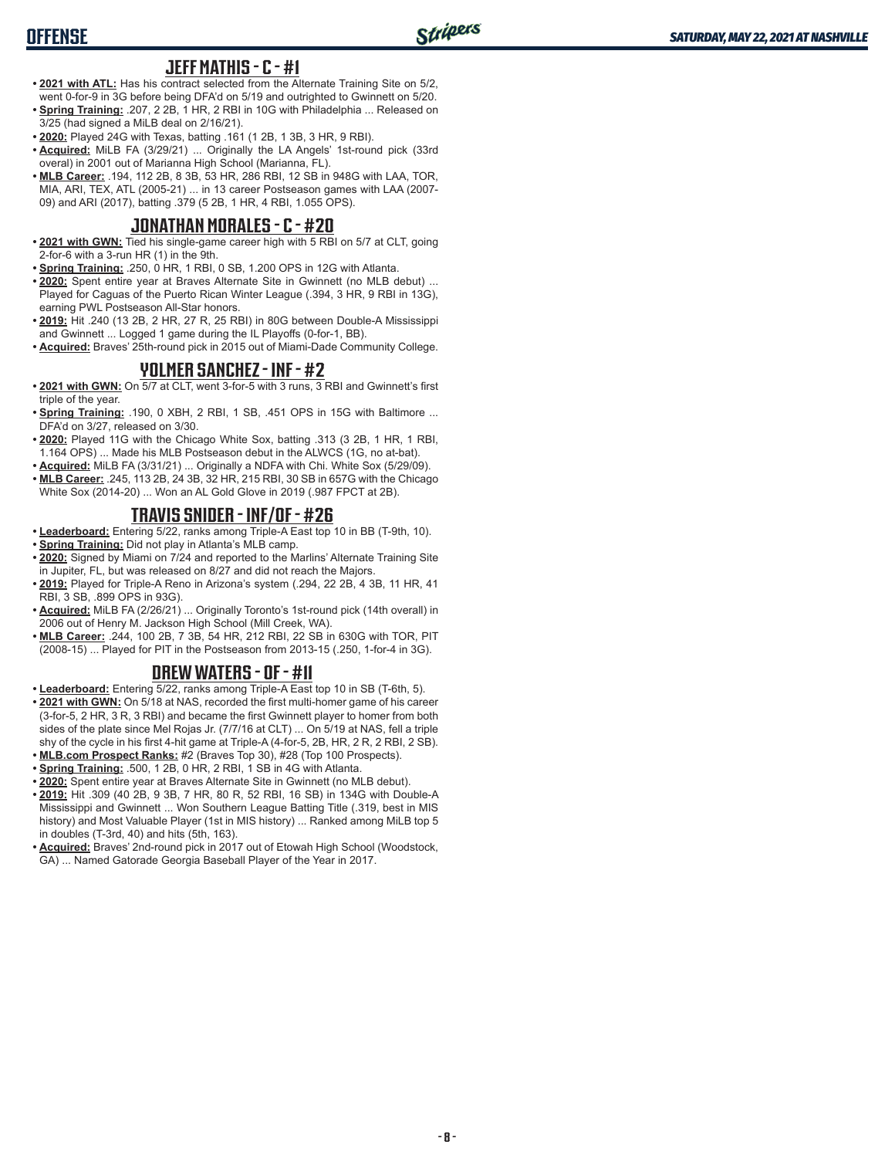### **JEFF MATHIS - C - #1**

- **• 2021 with ATL:** Has his contract selected from the Alternate Training Site on 5/2, went 0-for-9 in 3G before being DFA'd on 5/19 and outrighted to Gwinnett on 5/20.
- **• Spring Training:** .207, 2 2B, 1 HR, 2 RBI in 10G with Philadelphia ... Released on 3/25 (had signed a MiLB deal on 2/16/21).
- **• 2020:** Played 24G with Texas, batting .161 (1 2B, 1 3B, 3 HR, 9 RBI).
- **• Acquired:** MiLB FA (3/29/21) ... Originally the LA Angels' 1st-round pick (33rd overal) in 2001 out of Marianna High School (Marianna, FL).
- **• MLB Career:** .194, 112 2B, 8 3B, 53 HR, 286 RBI, 12 SB in 948G with LAA, TOR, MIA, ARI, TEX, ATL (2005-21) ... in 13 career Postseason games with LAA (2007- 09) and ARI (2017), batting .379 (5 2B, 1 HR, 4 RBI, 1.055 OPS).

### **JONATHAN MORALES - C - #20**

- **• 2021 with GWN:** Tied his single-game career high with 5 RBI on 5/7 at CLT, going 2-for-6 with a 3-run HR (1) in the 9th.
- **• Spring Training:** .250, 0 HR, 1 RBI, 0 SB, 1.200 OPS in 12G with Atlanta.
- **• 2020:** Spent entire year at Braves Alternate Site in Gwinnett (no MLB debut) ... Played for Caguas of the Puerto Rican Winter League (.394, 3 HR, 9 RBI in 13G), earning PWL Postseason All-Star honors.
- **• 2019:** Hit .240 (13 2B, 2 HR, 27 R, 25 RBI) in 80G between Double-A Mississippi and Gwinnett ... Logged 1 game during the IL Playoffs (0-for-1, BB).
- **• Acquired:** Braves' 25th-round pick in 2015 out of Miami-Dade Community College.

### **YOLMER SANCHEZ - INF - #2**

- **• 2021 with GWN:** On 5/7 at CLT, went 3-for-5 with 3 runs, 3 RBI and Gwinnett's first triple of the year.
- **• Spring Training:** .190, 0 XBH, 2 RBI, 1 SB, .451 OPS in 15G with Baltimore ... DFA'd on 3/27, released on 3/30.
- **• 2020:** Played 11G with the Chicago White Sox, batting .313 (3 2B, 1 HR, 1 RBI, 1.164 OPS) ... Made his MLB Postseason debut in the ALWCS (1G, no at-bat).
- **• Acquired:** MiLB FA (3/31/21) ... Originally a NDFA with Chi. White Sox (5/29/09).
- **• MLB Career:** .245, 113 2B, 24 3B, 32 HR, 215 RBI, 30 SB in 657G with the Chicago White Sox (2014-20) ... Won an AL Gold Glove in 2019 (.987 FPCT at 2B).

## **TRAVIS SNIDER - INF/OF - #26**

**• Leaderboard:** Entering 5/22, ranks among Triple-A East top 10 in BB (T-9th, 10). **• Spring Training:** Did not play in Atlanta's MLB camp.

- **• 2020:** Signed by Miami on 7/24 and reported to the Marlins' Alternate Training Site in Jupiter, FL, but was released on 8/27 and did not reach the Majors.
- **• 2019:** Played for Triple-A Reno in Arizona's system (.294, 22 2B, 4 3B, 11 HR, 41 RBI, 3 SB, .899 OPS in 93G).
- **• Acquired:** MiLB FA (2/26/21) ... Originally Toronto's 1st-round pick (14th overall) in 2006 out of Henry M. Jackson High School (Mill Creek, WA).
- **• MLB Career:** .244, 100 2B, 7 3B, 54 HR, 212 RBI, 22 SB in 630G with TOR, PIT (2008-15) ... Played for PIT in the Postseason from 2013-15 (.250, 1-for-4 in 3G).

### **DREW WATERS - OF - #11**

**• Leaderboard:** Entering 5/22, ranks among Triple-A East top 10 in SB (T-6th, 5).

- **• 2021 with GWN:** On 5/18 at NAS, recorded the first multi-homer game of his career (3-for-5, 2 HR, 3 R, 3 RBI) and became the first Gwinnett player to homer from both sides of the plate since Mel Rojas Jr. (7/7/16 at CLT) ... On 5/19 at NAS, fell a triple shy of the cycle in his first 4-hit game at Triple-A (4-for-5, 2B, HR, 2 R, 2 RBI, 2 SB).
- **• MLB.com Prospect Ranks:** #2 (Braves Top 30), #28 (Top 100 Prospects).
- **• Spring Training:** .500, 1 2B, 0 HR, 2 RBI, 1 SB in 4G with Atlanta.
- **• 2020:** Spent entire year at Braves Alternate Site in Gwinnett (no MLB debut).
- **• 2019:** Hit .309 (40 2B, 9 3B, 7 HR, 80 R, 52 RBI, 16 SB) in 134G with Double-A Mississippi and Gwinnett ... Won Southern League Batting Title (.319, best in MIS history) and Most Valuable Player (1st in MIS history) ... Ranked among MiLB top 5 in doubles (T-3rd, 40) and hits (5th, 163).
- **• Acquired:** Braves' 2nd-round pick in 2017 out of Etowah High School (Woodstock, GA) ... Named Gatorade Georgia Baseball Player of the Year in 2017.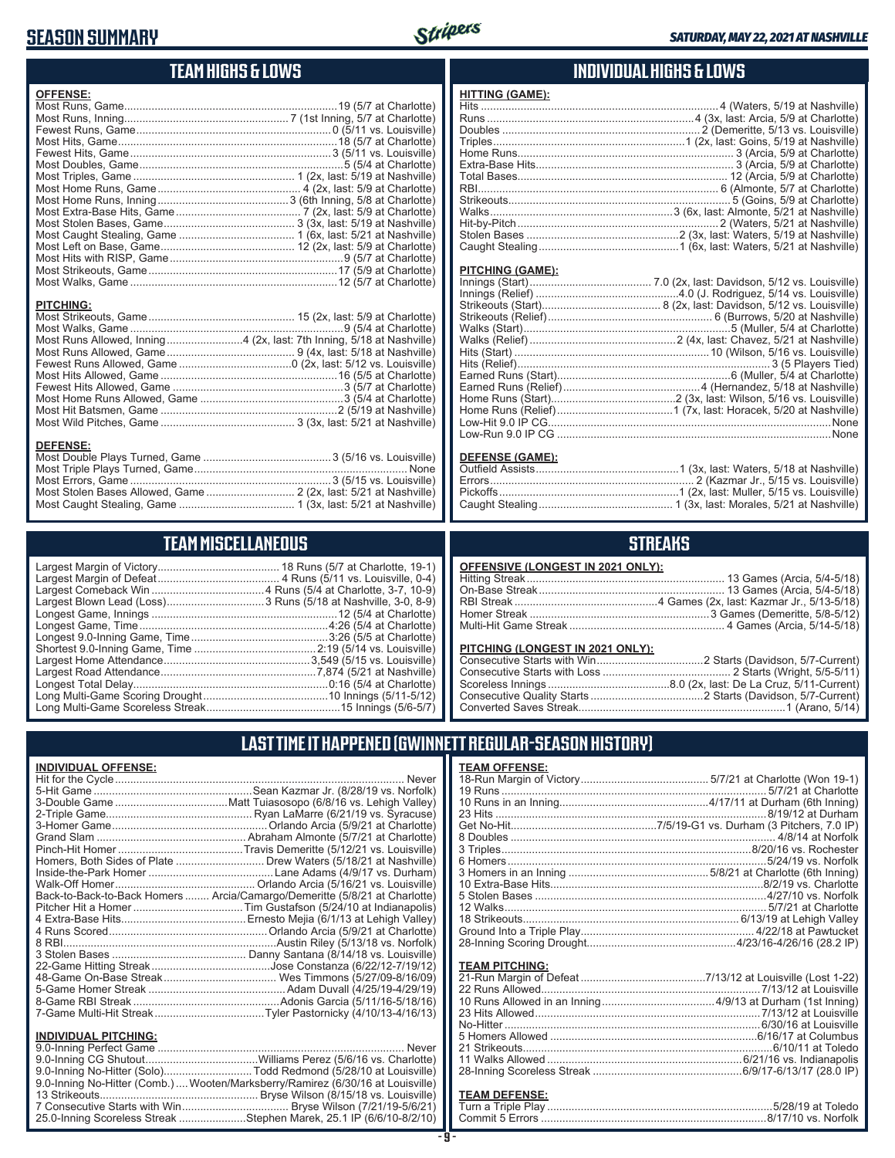## **SEASON SUMMARY**



## **TEAM HIGHS & LOWS**

| <b>OFFENSE:</b>                                                                                             |
|-------------------------------------------------------------------------------------------------------------|
| <b>PITCHING:</b><br>Most Runs Allowed, Inning4 (2x, last: 7th Inning, 5/18 at Nashville)<br><b>DEFENSE:</b> |
| Most Triple Dlove Turned Came                                                                               |

#### Most Triple Plays Turned, Game ...................................................................... None Most Errors, Game ..................................................................3 (5/15 vs. Louisville) Most Stolen Bases Allowed, Game ............................. 2 (2x, last: 5/21 at Nashville) Most Caught Stealing, Game ...................................... 1 (3x, last: 5/21 at Nashville)

### **TEAM MISCELLANEOUS**

### **INDIVIDUAL HIGHS & LOWS**

| <b>HITTING (GAME):</b> |  |
|------------------------|--|
|                        |  |
|                        |  |
|                        |  |
|                        |  |
|                        |  |
|                        |  |
|                        |  |
|                        |  |
|                        |  |
|                        |  |
|                        |  |
|                        |  |
|                        |  |

#### **PITCHING (GAME):**

#### **DEFENSE (GAME):**

### **STREAKS**

| OFFENSIVE (LONGEST IN 2021 ONLY): |  |
|-----------------------------------|--|
|                                   |  |
|                                   |  |
|                                   |  |
|                                   |  |
|                                   |  |
|                                   |  |

#### **PITCHING (LONGEST IN 2021 ONLY):**

## **LAST TIME IT HAPPENED (GWINNETT REGULAR-SEASON HISTORY)**

| <b>INDIVIDUAL OFFENSE:</b>  |                                                                                 |
|-----------------------------|---------------------------------------------------------------------------------|
|                             | Never                                                                           |
|                             |                                                                                 |
|                             |                                                                                 |
|                             |                                                                                 |
|                             |                                                                                 |
|                             |                                                                                 |
|                             |                                                                                 |
|                             | Homers, Both Sides of Plate  Drew Waters (5/18/21 at Nashville)                 |
|                             |                                                                                 |
|                             |                                                                                 |
|                             | Back-to-Back-to-Back Homers  Arcia/Camargo/Demeritte (5/8/21 at Charlotte)      |
|                             |                                                                                 |
|                             |                                                                                 |
|                             |                                                                                 |
|                             |                                                                                 |
|                             |                                                                                 |
|                             |                                                                                 |
|                             |                                                                                 |
|                             |                                                                                 |
|                             |                                                                                 |
|                             | 7-Game Multi-Hit StreakTyler Pastornicky (4/10/13-4/16/13)                      |
| <b>INDIVIDUAL PITCHING:</b> |                                                                                 |
|                             |                                                                                 |
|                             |                                                                                 |
|                             | 9.0-Inning No-Hitter (Solo)Todd Redmond (5/28/10 at Louisville)                 |
|                             | 9.0-Inning No-Hitter (Comb.)  Wooten/Marksberry/Ramirez (6/30/16 at Louisville) |
|                             |                                                                                 |
|                             |                                                                                 |

25.0-Inning Scoreless Streak ......................Stephen Marek, 25.1 IP (6/6/10-8/2/10)

| <b>TEAM OFFENSE:</b> |  |
|----------------------|--|
|                      |  |
|                      |  |
|                      |  |
|                      |  |
|                      |  |
|                      |  |
|                      |  |
|                      |  |
|                      |  |
|                      |  |
|                      |  |
|                      |  |
|                      |  |
|                      |  |
|                      |  |
|                      |  |
|                      |  |

#### **TEAM PITCHING:**

## **TEAM DEFENSE:**